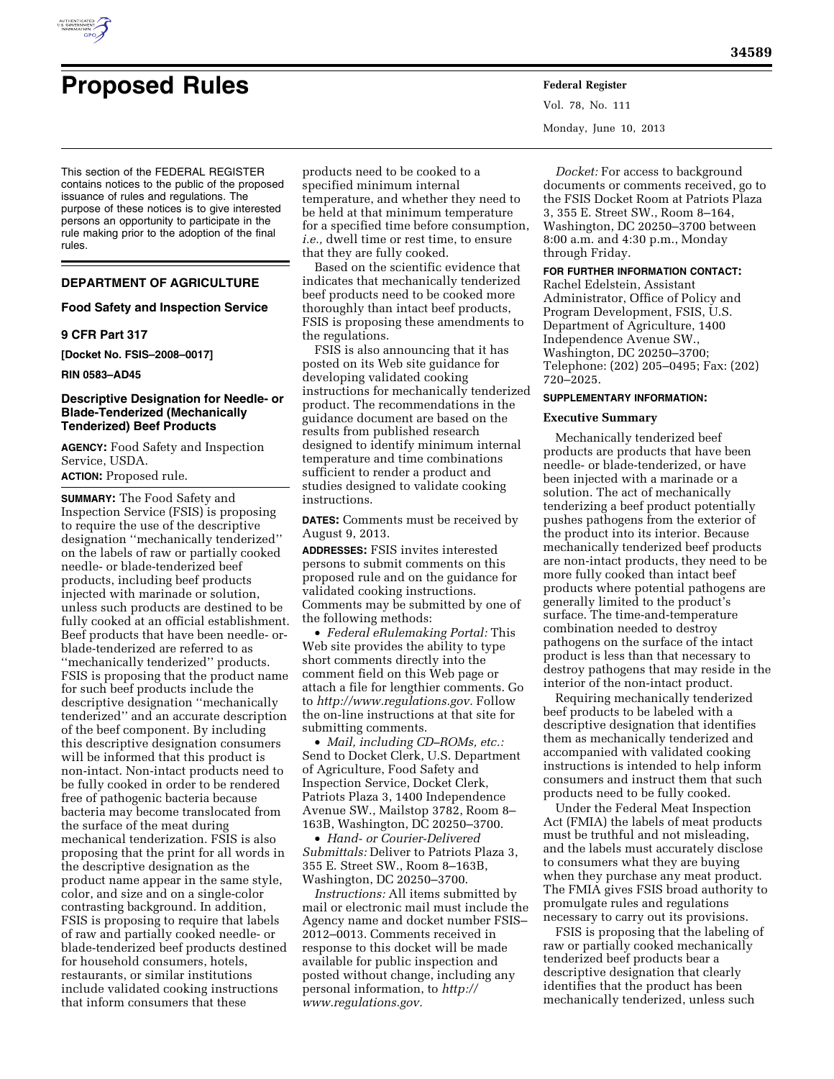

# **Proposed Rules Federal Register**

This section of the FEDERAL REGISTER contains notices to the public of the proposed issuance of rules and regulations. The purpose of these notices is to give interested persons an opportunity to participate in the rule making prior to the adoption of the final rules.

# **DEPARTMENT OF AGRICULTURE**

# **Food Safety and Inspection Service**

# **9 CFR Part 317**

**[Docket No. FSIS–2008–0017]** 

#### **RIN 0583–AD45**

# **Descriptive Designation for Needle- or Blade-Tenderized (Mechanically Tenderized) Beef Products**

**AGENCY:** Food Safety and Inspection Service, USDA.

**ACTION:** Proposed rule.

**SUMMARY:** The Food Safety and Inspection Service (FSIS) is proposing to require the use of the descriptive designation ''mechanically tenderized'' on the labels of raw or partially cooked needle- or blade-tenderized beef products, including beef products injected with marinade or solution, unless such products are destined to be fully cooked at an official establishment. Beef products that have been needle- orblade-tenderized are referred to as ''mechanically tenderized'' products. FSIS is proposing that the product name for such beef products include the descriptive designation ''mechanically tenderized'' and an accurate description of the beef component. By including this descriptive designation consumers will be informed that this product is non-intact. Non-intact products need to be fully cooked in order to be rendered free of pathogenic bacteria because bacteria may become translocated from the surface of the meat during mechanical tenderization. FSIS is also proposing that the print for all words in the descriptive designation as the product name appear in the same style, color, and size and on a single-color contrasting background. In addition, FSIS is proposing to require that labels of raw and partially cooked needle- or blade-tenderized beef products destined for household consumers, hotels, restaurants, or similar institutions include validated cooking instructions that inform consumers that these

products need to be cooked to a specified minimum internal temperature, and whether they need to be held at that minimum temperature for a specified time before consumption, *i.e.,* dwell time or rest time, to ensure that they are fully cooked.

Based on the scientific evidence that indicates that mechanically tenderized beef products need to be cooked more thoroughly than intact beef products, FSIS is proposing these amendments to the regulations.

FSIS is also announcing that it has posted on its Web site guidance for developing validated cooking instructions for mechanically tenderized product. The recommendations in the guidance document are based on the results from published research designed to identify minimum internal temperature and time combinations sufficient to render a product and studies designed to validate cooking instructions.

**DATES:** Comments must be received by August 9, 2013.

**ADDRESSES:** FSIS invites interested persons to submit comments on this proposed rule and on the guidance for validated cooking instructions. Comments may be submitted by one of the following methods:

• *Federal eRulemaking Portal:* This Web site provides the ability to type short comments directly into the comment field on this Web page or attach a file for lengthier comments. Go to *[http://www.regulations.gov.](http://www.regulations.gov)* Follow the on-line instructions at that site for submitting comments.

• *Mail, including CD–ROMs, etc.:*  Send to Docket Clerk, U.S. Department of Agriculture, Food Safety and Inspection Service, Docket Clerk, Patriots Plaza 3, 1400 Independence Avenue SW., Mailstop 3782, Room 8– 163B, Washington, DC 20250–3700.

• *Hand- or Courier-Delivered Submittals:* Deliver to Patriots Plaza 3, 355 E. Street SW., Room 8–163B, Washington, DC 20250–3700.

*Instructions:* All items submitted by mail or electronic mail must include the Agency name and docket number FSIS– 2012–0013. Comments received in response to this docket will be made available for public inspection and posted without change, including any personal information, to *[http://](http://www.regulations.gov)  [www.regulations.gov.](http://www.regulations.gov)* 

Vol. 78, No. 111 Monday, June 10, 2013

*Docket:* For access to background documents or comments received, go to the FSIS Docket Room at Patriots Plaza 3, 355 E. Street SW., Room 8–164, Washington, DC 20250–3700 between 8:00 a.m. and 4:30 p.m., Monday through Friday.

# **FOR FURTHER INFORMATION CONTACT:**

Rachel Edelstein, Assistant Administrator, Office of Policy and Program Development, FSIS, U.S. Department of Agriculture, 1400 Independence Avenue SW., Washington, DC 20250–3700; Telephone: (202) 205–0495; Fax: (202) 720–2025.

# **SUPPLEMENTARY INFORMATION:**

#### **Executive Summary**

Mechanically tenderized beef products are products that have been needle- or blade-tenderized, or have been injected with a marinade or a solution. The act of mechanically tenderizing a beef product potentially pushes pathogens from the exterior of the product into its interior. Because mechanically tenderized beef products are non-intact products, they need to be more fully cooked than intact beef products where potential pathogens are generally limited to the product's surface. The time-and-temperature combination needed to destroy pathogens on the surface of the intact product is less than that necessary to destroy pathogens that may reside in the interior of the non-intact product.

Requiring mechanically tenderized beef products to be labeled with a descriptive designation that identifies them as mechanically tenderized and accompanied with validated cooking instructions is intended to help inform consumers and instruct them that such products need to be fully cooked.

Under the Federal Meat Inspection Act (FMIA) the labels of meat products must be truthful and not misleading, and the labels must accurately disclose to consumers what they are buying when they purchase any meat product. The FMIA gives FSIS broad authority to promulgate rules and regulations necessary to carry out its provisions.

FSIS is proposing that the labeling of raw or partially cooked mechanically tenderized beef products bear a descriptive designation that clearly identifies that the product has been mechanically tenderized, unless such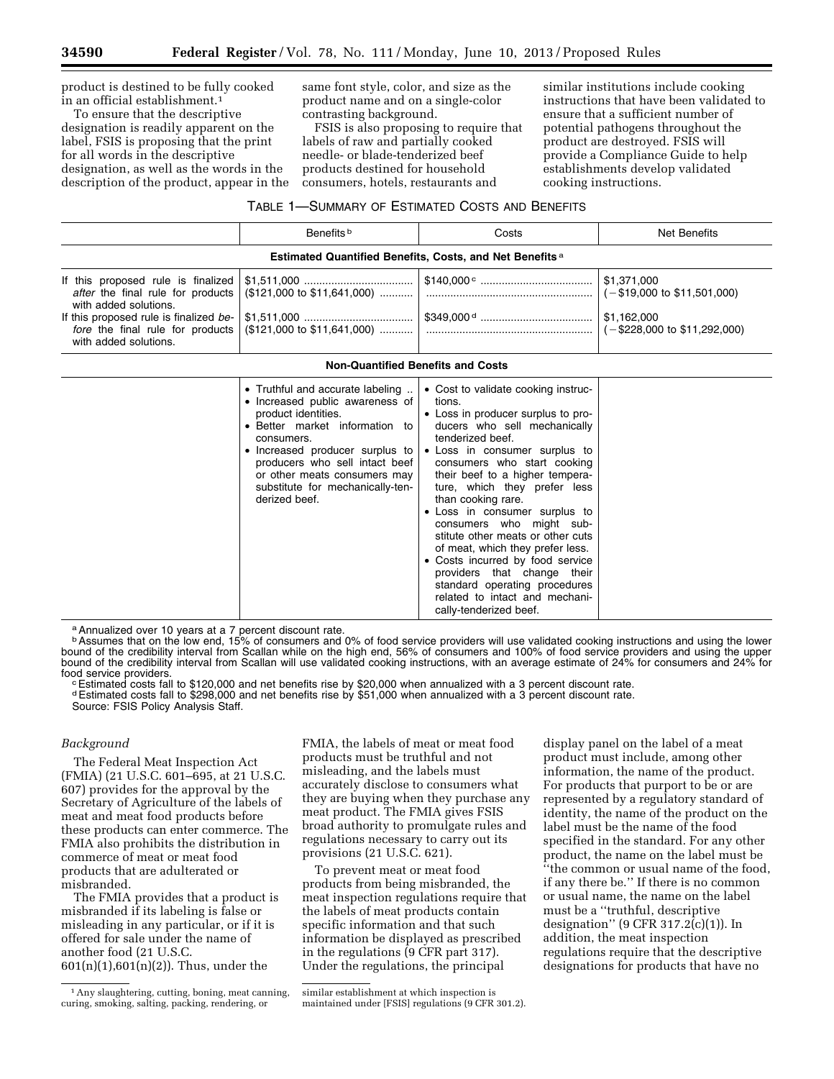product is destined to be fully cooked in an official establishment.1

To ensure that the descriptive designation is readily apparent on the label, FSIS is proposing that the print for all words in the descriptive designation, as well as the words in the description of the product, appear in the same font style, color, and size as the product name and on a single-color contrasting background.

FSIS is also proposing to require that labels of raw and partially cooked needle- or blade-tenderized beef products destined for household consumers, hotels, restaurants and

similar institutions include cooking instructions that have been validated to ensure that a sufficient number of potential pathogens throughout the product are destroyed. FSIS will provide a Compliance Guide to help establishments develop validated cooking instructions.

| TABLE 1-SUMMARY OF ESTIMATED COSTS AND BENEFITS |  |
|-------------------------------------------------|--|
|-------------------------------------------------|--|

|                                                                                                                                                                                                         | Benefits b                                                                                                                                                                                                                                                                                           | Costs                                                                                                                                                                                                                                                                                                                                                                                                                                                                                                                                                                                                  | <b>Net Benefits</b>                                                                                    |  |  |  |
|---------------------------------------------------------------------------------------------------------------------------------------------------------------------------------------------------------|------------------------------------------------------------------------------------------------------------------------------------------------------------------------------------------------------------------------------------------------------------------------------------------------------|--------------------------------------------------------------------------------------------------------------------------------------------------------------------------------------------------------------------------------------------------------------------------------------------------------------------------------------------------------------------------------------------------------------------------------------------------------------------------------------------------------------------------------------------------------------------------------------------------------|--------------------------------------------------------------------------------------------------------|--|--|--|
|                                                                                                                                                                                                         | Estimated Quantified Benefits, Costs, and Net Benefits <sup>a</sup>                                                                                                                                                                                                                                  |                                                                                                                                                                                                                                                                                                                                                                                                                                                                                                                                                                                                        |                                                                                                        |  |  |  |
| If this proposed rule is finalized<br>after the final rule for products<br>with added solutions.<br>If this proposed rule is finalized be-<br>fore the final rule for products<br>with added solutions. | (\$121,000 to \$11,641,000)<br>(\$121,000 to \$11,641,000)                                                                                                                                                                                                                                           |                                                                                                                                                                                                                                                                                                                                                                                                                                                                                                                                                                                                        | \$1,371,000<br>$(-\$19,000$ to \$11,501,000)<br>\$1,162,000<br>$(-\$228,000 \text{ to } \$11,292,000)$ |  |  |  |
|                                                                                                                                                                                                         | <b>Non-Quantified Benefits and Costs</b>                                                                                                                                                                                                                                                             |                                                                                                                                                                                                                                                                                                                                                                                                                                                                                                                                                                                                        |                                                                                                        |  |  |  |
|                                                                                                                                                                                                         | • Truthful and accurate labeling<br>• Increased public awareness of<br>product identities.<br>• Better market information to<br>consumers.<br>• Increased producer surplus to<br>producers who sell intact beef<br>or other meats consumers may<br>substitute for mechanically-ten-<br>derized beef. | • Cost to validate cooking instruc-<br>tions.<br>• Loss in producer surplus to pro-<br>ducers who sell mechanically<br>tenderized beef.<br>. Loss in consumer surplus to<br>consumers who start cooking<br>their beef to a higher tempera-<br>ture, which they prefer less<br>than cooking rare.<br>· Loss in consumer surplus to<br>consumers who might sub-<br>stitute other meats or other cuts<br>of meat, which they prefer less.<br>• Costs incurred by food service<br>providers that change their<br>standard operating procedures<br>related to intact and mechani-<br>cally-tenderized beef. |                                                                                                        |  |  |  |

a Annualized over 10 years at a 7 percent discount rate.

<sup>b</sup> Assumes that on the low end, 15% of consumers and 0% of food service providers will use validated cooking instructions and using the lower bound of the credibility interval from Scallan while on the high end, 56% of consumers and 100% of food service providers and using the upper bound of the credibility interval from Scallan will use validated cooking instructions, with an average estimate of 24% for consumers and 24% for

food service providers.<br>
CEstimated costs fall to \$120,000 and net benefits rise by \$20,000 when annualized with a 3 percent discount rate. dEstimated costs fall to \$298,000 and net benefits rise by \$51,000 when annualized with a 3 percent discount rate. Source: FSIS Policy Analysis Staff.

# *Background*

The Federal Meat Inspection Act (FMIA) (21 U.S.C. 601–695, at 21 U.S.C. 607) provides for the approval by the Secretary of Agriculture of the labels of meat and meat food products before these products can enter commerce. The FMIA also prohibits the distribution in commerce of meat or meat food products that are adulterated or misbranded.

The FMIA provides that a product is misbranded if its labeling is false or misleading in any particular, or if it is offered for sale under the name of another food (21 U.S.C. 601(n)(1),601(n)(2)). Thus, under the

1Any slaughtering, cutting, boning, meat canning, curing, smoking, salting, packing, rendering, or

FMIA, the labels of meat or meat food products must be truthful and not misleading, and the labels must accurately disclose to consumers what they are buying when they purchase any meat product. The FMIA gives FSIS broad authority to promulgate rules and regulations necessary to carry out its provisions (21 U.S.C. 621).

To prevent meat or meat food products from being misbranded, the meat inspection regulations require that the labels of meat products contain specific information and that such information be displayed as prescribed in the regulations (9 CFR part 317). Under the regulations, the principal

display panel on the label of a meat product must include, among other information, the name of the product. For products that purport to be or are represented by a regulatory standard of identity, the name of the product on the label must be the name of the food specified in the standard. For any other product, the name on the label must be ''the common or usual name of the food, if any there be.'' If there is no common or usual name, the name on the label must be a ''truthful, descriptive designation'' (9 CFR 317.2(c)(1)). In addition, the meat inspection regulations require that the descriptive designations for products that have no

similar establishment at which inspection is maintained under [FSIS] regulations (9 CFR 301.2).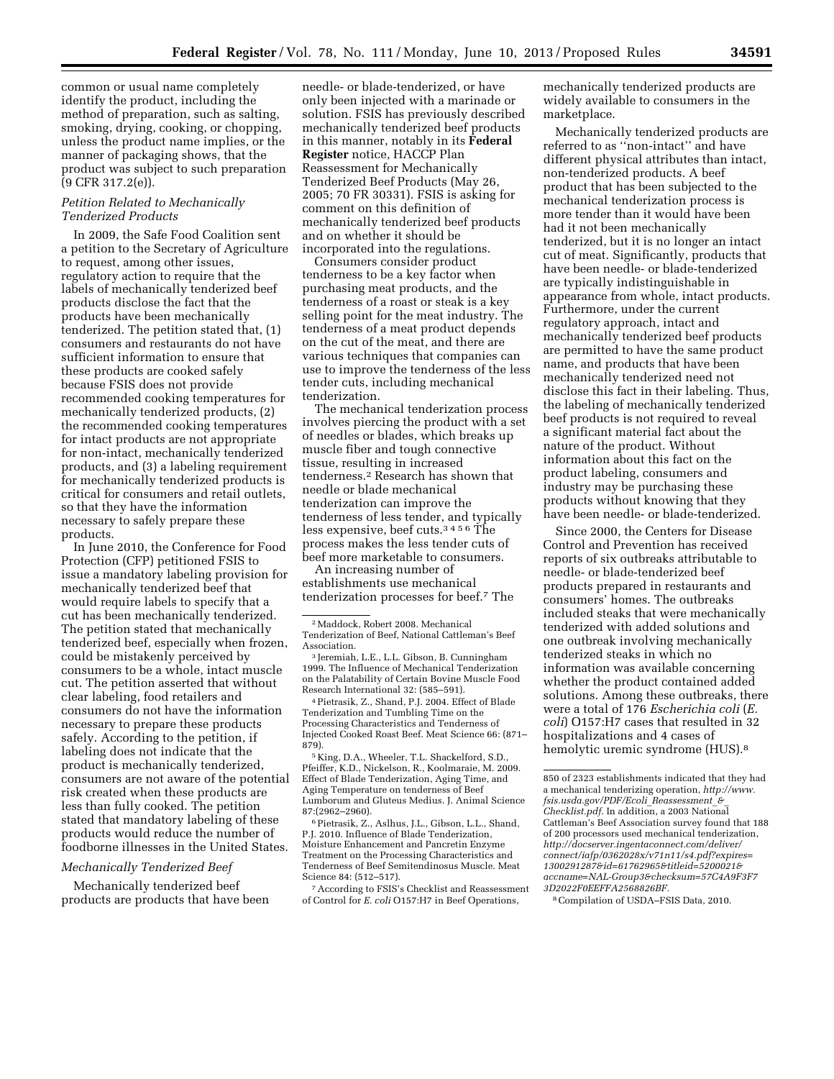common or usual name completely identify the product, including the method of preparation, such as salting, smoking, drying, cooking, or chopping, unless the product name implies, or the manner of packaging shows, that the product was subject to such preparation (9 CFR 317.2(e)).

# *Petition Related to Mechanically Tenderized Products*

In 2009, the Safe Food Coalition sent a petition to the Secretary of Agriculture to request, among other issues, regulatory action to require that the labels of mechanically tenderized beef products disclose the fact that the products have been mechanically tenderized. The petition stated that, (1) consumers and restaurants do not have sufficient information to ensure that these products are cooked safely because FSIS does not provide recommended cooking temperatures for mechanically tenderized products, (2) the recommended cooking temperatures for intact products are not appropriate for non-intact, mechanically tenderized products, and (3) a labeling requirement for mechanically tenderized products is critical for consumers and retail outlets, so that they have the information necessary to safely prepare these products.

In June 2010, the Conference for Food Protection (CFP) petitioned FSIS to issue a mandatory labeling provision for mechanically tenderized beef that would require labels to specify that a cut has been mechanically tenderized. The petition stated that mechanically tenderized beef, especially when frozen, could be mistakenly perceived by consumers to be a whole, intact muscle cut. The petition asserted that without clear labeling, food retailers and consumers do not have the information necessary to prepare these products safely. According to the petition, if labeling does not indicate that the product is mechanically tenderized, consumers are not aware of the potential risk created when these products are less than fully cooked. The petition stated that mandatory labeling of these products would reduce the number of foodborne illnesses in the United States.

# *Mechanically Tenderized Beef*

Mechanically tenderized beef products are products that have been

needle- or blade-tenderized, or have only been injected with a marinade or solution. FSIS has previously described mechanically tenderized beef products in this manner, notably in its **Federal Register** notice, HACCP Plan Reassessment for Mechanically Tenderized Beef Products (May 26, 2005; 70 FR 30331). FSIS is asking for comment on this definition of mechanically tenderized beef products and on whether it should be incorporated into the regulations.

Consumers consider product tenderness to be a key factor when purchasing meat products, and the tenderness of a roast or steak is a key selling point for the meat industry. The tenderness of a meat product depends on the cut of the meat, and there are various techniques that companies can use to improve the tenderness of the less tender cuts, including mechanical tenderization.

The mechanical tenderization process involves piercing the product with a set of needles or blades, which breaks up muscle fiber and tough connective tissue, resulting in increased tenderness.2 Research has shown that needle or blade mechanical tenderization can improve the tenderness of less tender, and typically less expensive, beef cuts.3456 The process makes the less tender cuts of beef more marketable to consumers.

An increasing number of establishments use mechanical tenderization processes for beef.7 The

4Pietrasik, Z., Shand, P.J. 2004. Effect of Blade Tenderization and Tumbling Time on the Processing Characteristics and Tenderness of Injected Cooked Roast Beef. Meat Science 66: (871– 879).

5 King, D.A., Wheeler, T.L. Shackelford, S.D., Pfeiffer, K.D., Nickelson, R., Koolmaraie, M. 2009. Effect of Blade Tenderization, Aging Time, and Aging Temperature on tenderness of Beef Lumborum and Gluteus Medius. J. Animal Science 87:(2962–2960).

6Pietrasik, Z., Aslhus, J.L., Gibson, L.L., Shand, P.J. 2010. Influence of Blade Tenderization, Moisture Enhancement and Pancretin Enzyme Treatment on the Processing Characteristics and Tenderness of Beef Semitendinosus Muscle. Meat Science 84: (512–517).

7According to FSIS's Checklist and Reassessment of Control for *E. coli* O157:H7 in Beef Operations,

mechanically tenderized products are widely available to consumers in the marketplace.

Mechanically tenderized products are referred to as ''non-intact'' and have different physical attributes than intact, non-tenderized products. A beef product that has been subjected to the mechanical tenderization process is more tender than it would have been had it not been mechanically tenderized, but it is no longer an intact cut of meat. Significantly, products that have been needle- or blade-tenderized are typically indistinguishable in appearance from whole, intact products. Furthermore, under the current regulatory approach, intact and mechanically tenderized beef products are permitted to have the same product name, and products that have been mechanically tenderized need not disclose this fact in their labeling. Thus, the labeling of mechanically tenderized beef products is not required to reveal a significant material fact about the nature of the product. Without information about this fact on the product labeling, consumers and industry may be purchasing these products without knowing that they have been needle- or blade-tenderized.

Since 2000, the Centers for Disease Control and Prevention has received reports of six outbreaks attributable to needle- or blade-tenderized beef products prepared in restaurants and consumers' homes. The outbreaks included steaks that were mechanically tenderized with added solutions and one outbreak involving mechanically tenderized steaks in which no information was available concerning whether the product contained added solutions. Among these outbreaks, there were a total of 176 *Escherichia coli* (*E. coli*) O157:H7 cases that resulted in 32 hospitalizations and 4 cases of hemolytic uremic syndrome (HUS).8

8Compilation of USDA–FSIS Data, 2010.

<sup>2</sup>Maddock, Robert 2008. Mechanical Tenderization of Beef, National Cattleman's Beef Association.

<sup>3</sup> Jeremiah, L.E., L.L. Gibson, B. Cunningham 1999. The Influence of Mechanical Tenderization on the Palatability of Certain Bovine Muscle Food Research International 32: (585–591).

<sup>850</sup> of 2323 establishments indicated that they had a mechanical tenderizing operation, *[http://www.](http://www.fsis.usda.gov/PDF/Ecoli_Reassessment_&_Checklist.pdf) [fsis.usda.gov/PDF/Ecoli](http://www.fsis.usda.gov/PDF/Ecoli_Reassessment_&_Checklist.pdf)*\_*Reassessment*\_*&*\_ *[Checklist.pdf.](http://www.fsis.usda.gov/PDF/Ecoli_Reassessment_&_Checklist.pdf)* In addition, a 2003 National Cattleman's Beef Association survey found that 188 of 200 processors used mechanical tenderization, *[http://docserver.ingentaconnect.com/deliver/](http://docserver.ingentaconnect.com/deliver/connect/iafp/0362028x/v71n11/s4.pdf?expires=1300291287&id=61762965&titleid=5200021&accname=NAL-Group3&checksum=57C4A9F3F73D2022F0EEFFA2568826BF) [connect/iafp/0362028x/v71n11/s4.pdf?expires=](http://docserver.ingentaconnect.com/deliver/connect/iafp/0362028x/v71n11/s4.pdf?expires=1300291287&id=61762965&titleid=5200021&accname=NAL-Group3&checksum=57C4A9F3F73D2022F0EEFFA2568826BF) [1300291287&id=61762965&titleid=5200021&](http://docserver.ingentaconnect.com/deliver/connect/iafp/0362028x/v71n11/s4.pdf?expires=1300291287&id=61762965&titleid=5200021&accname=NAL-Group3&checksum=57C4A9F3F73D2022F0EEFFA2568826BF) [accname=NAL-Group3&checksum=57C4A9F3F7](http://docserver.ingentaconnect.com/deliver/connect/iafp/0362028x/v71n11/s4.pdf?expires=1300291287&id=61762965&titleid=5200021&accname=NAL-Group3&checksum=57C4A9F3F73D2022F0EEFFA2568826BF) [3D2022F0EEFFA2568826BF.](http://docserver.ingentaconnect.com/deliver/connect/iafp/0362028x/v71n11/s4.pdf?expires=1300291287&id=61762965&titleid=5200021&accname=NAL-Group3&checksum=57C4A9F3F73D2022F0EEFFA2568826BF)*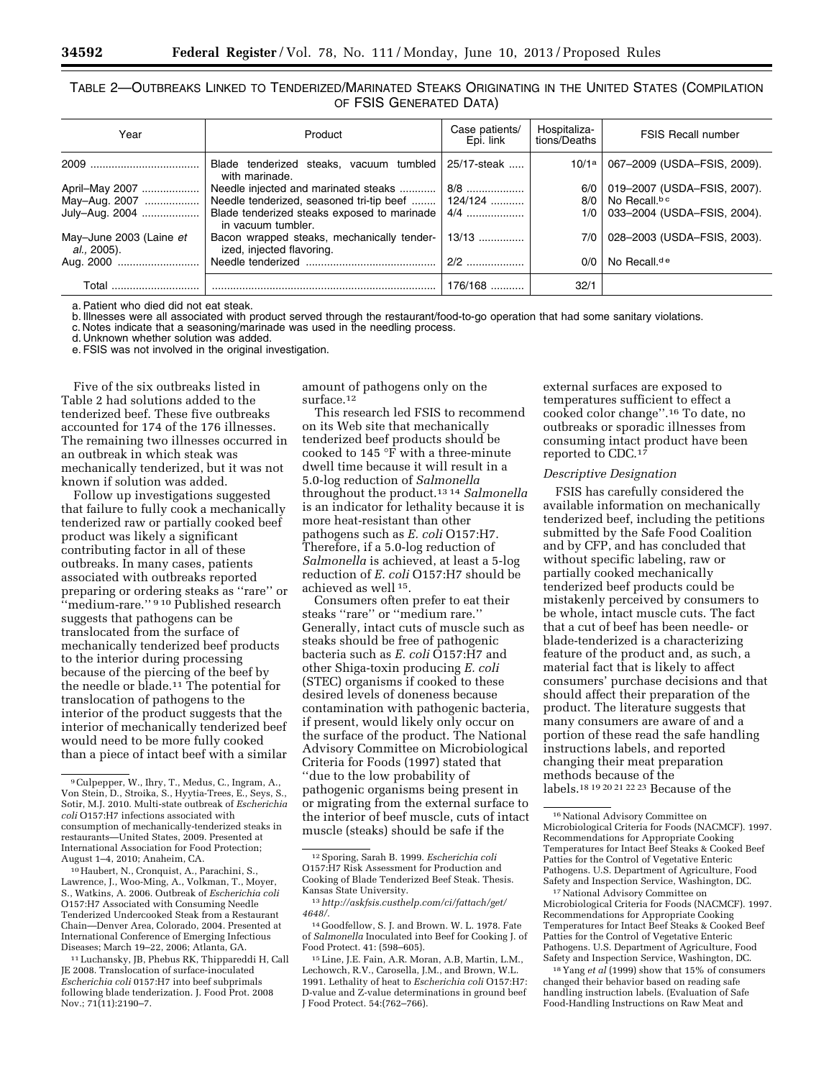# TABLE 2—OUTBREAKS LINKED TO TENDERIZED/MARINATED STEAKS ORIGINATING IN THE UNITED STATES (COMPILATION OF FSIS GENERATED DATA)

| Year                                           | Product                                                                 | Case patients/<br>Epi. link | Hospitaliza-<br>tions/Deaths | <b>FSIS Recall number</b>                       |
|------------------------------------------------|-------------------------------------------------------------------------|-----------------------------|------------------------------|-------------------------------------------------|
|                                                | Blade tenderized steaks, vacuum tumbled<br>with marinade.               | 25/17-steak                 |                              | 10/1 <sup>a</sup>   067-2009 (USDA-FSIS, 2009). |
| April-May 2007                                 | Needle injected and marinated steaks                                    | 8/8                         |                              | 6/0   019-2007 (USDA-FSIS, 2007).               |
| May-Aug. 2007                                  | Needle tenderized, seasoned tri-tip beef  124/124                       |                             |                              | $8/0$   No Recall. <sup>bc</sup>                |
| July-Aug. 2004                                 | Blade tenderized steaks exposed to marinade<br>in vacuum tumbler.       | 4/4                         |                              | 1/0   033-2004 (USDA-FSIS, 2004).               |
| May-June 2003 (Laine et<br><i>al.</i> , 2005). | Bacon wrapped steaks, mechanically tender-<br>ized, injected flavoring. | $13/13$                     |                              | 7/0   028-2003 (USDA-FSIS, 2003).               |
|                                                |                                                                         | $2/2$                       | 0/0                          | No Recall. <sup>de</sup>                        |
| Total                                          |                                                                         | $176/168$                   | 32/1                         |                                                 |

a. Patient who died did not eat steak.

b. Illnesses were all associated with product served through the restaurant/food-to-go operation that had some sanitary violations.

c. Notes indicate that a seasoning/marinade was used in the needling process.

d. Unknown whether solution was added.

e. FSIS was not involved in the original investigation.

Five of the six outbreaks listed in Table 2 had solutions added to the tenderized beef. These five outbreaks accounted for 174 of the 176 illnesses. The remaining two illnesses occurred in an outbreak in which steak was mechanically tenderized, but it was not known if solution was added.

Follow up investigations suggested that failure to fully cook a mechanically tenderized raw or partially cooked beef product was likely a significant contributing factor in all of these outbreaks. In many cases, patients associated with outbreaks reported preparing or ordering steaks as ''rare'' or "medium-rare." 910 Published research suggests that pathogens can be translocated from the surface of mechanically tenderized beef products to the interior during processing because of the piercing of the beef by the needle or blade.11 The potential for translocation of pathogens to the interior of the product suggests that the interior of mechanically tenderized beef would need to be more fully cooked than a piece of intact beef with a similar

<sup>10</sup> Haubert, N., Cronquist, A., Parachini, S., Lawrence, J., Woo-Ming, A., Volkman, T., Moyer, S., Watkins, A. 2006. Outbreak of *Escherichia coli*  O157:H7 Associated with Consuming Needle Tenderized Undercooked Steak from a Restaurant Chain—Denver Area, Colorado, 2004. Presented at International Conference of Emerging Infectious Diseases; March 19–22, 2006; Atlanta, GA.

11Luchansky, JB, Phebus RK, Thippareddi H, Call JE 2008. Translocation of surface-inoculated *Escherichia coli* 0157:H7 into beef subprimals following blade tenderization. J. Food Prot. 2008 Nov.; 71(11):2190–7.

amount of pathogens only on the surface.<sup>12</sup>

This research led FSIS to recommend on its Web site that mechanically tenderized beef products should be cooked to 145 °F with a three-minute dwell time because it will result in a 5.0-log reduction of *Salmonella*  throughout the product.13 14 *Salmonella*  is an indicator for lethality because it is more heat-resistant than other pathogens such as *E. coli* O157:H7. Therefore, if a 5.0-log reduction of *Salmonella* is achieved, at least a 5-log reduction of *E. coli* O157:H7 should be achieved as well 15.

Consumers often prefer to eat their steaks ''rare'' or ''medium rare.'' Generally, intact cuts of muscle such as steaks should be free of pathogenic bacteria such as *E. coli* O157:H7 and other Shiga-toxin producing *E. coli*  (STEC) organisms if cooked to these desired levels of doneness because contamination with pathogenic bacteria, if present, would likely only occur on the surface of the product. The National Advisory Committee on Microbiological Criteria for Foods (1997) stated that ''due to the low probability of pathogenic organisms being present in or migrating from the external surface to the interior of beef muscle, cuts of intact muscle (steaks) should be safe if the

external surfaces are exposed to temperatures sufficient to effect a cooked color change''.16 To date, no outbreaks or sporadic illnesses from consuming intact product have been reported to CDC.<sup>17</sup>

#### *Descriptive Designation*

FSIS has carefully considered the available information on mechanically tenderized beef, including the petitions submitted by the Safe Food Coalition and by CFP, and has concluded that without specific labeling, raw or partially cooked mechanically tenderized beef products could be mistakenly perceived by consumers to be whole, intact muscle cuts. The fact that a cut of beef has been needle- or blade-tenderized is a characterizing feature of the product and, as such, a material fact that is likely to affect consumers' purchase decisions and that should affect their preparation of the product. The literature suggests that many consumers are aware of and a portion of these read the safe handling instructions labels, and reported changing their meat preparation methods because of the labels.18 19 20 21 22 23 Because of the

17National Advisory Committee on Microbiological Criteria for Foods (NACMCF). 1997. Recommendations for Appropriate Cooking Temperatures for Intact Beef Steaks & Cooked Beef Patties for the Control of Vegetative Enteric Pathogens. U.S. Department of Agriculture, Food Safety and Inspection Service, Washington, DC.

18 Yang *et al* (1999) show that 15% of consumers changed their behavior based on reading safe handling instruction labels. (Evaluation of Safe Food-Handling Instructions on Raw Meat and

<sup>9</sup>Culpepper, W., Ihry, T., Medus, C., Ingram, A., Von Stein, D., Stroika, S., Hyytia-Trees, E., Seys, S., Sotir, M.J. 2010. Multi-state outbreak of *Escherichia coli* O157:H7 infections associated with consumption of mechanically-tenderized steaks in restaurants—United States, 2009. Presented at International Association for Food Protection; August 1–4, 2010; Anaheim, CA.

<sup>12</sup>Sporing, Sarah B. 1999. *Escherichia coli*  O157:H7 Risk Assessment for Production and Cooking of Blade Tenderized Beef Steak. Thesis. Kansas State University.

<sup>13</sup>*[http://askfsis.custhelp.com/ci/fattach/get/](http://askfsis.custhelp.com/ci/fattach/get/4648/) [4648/.](http://askfsis.custhelp.com/ci/fattach/get/4648/)* 

<sup>14</sup> Goodfellow, S. J. and Brown. W. L. 1978. Fate of *Salmonella* Inoculated into Beef for Cooking J. of Food Protect. 41: (598–605).

<sup>15</sup>Line, J.E. Fain, A.R. Moran, A.B, Martin, L.M., Lechowch, R.V., Carosella, J.M., and Brown, W.L. 1991. Lethality of heat to *Escherichia coli* O157:H7: D-value and Z-value determinations in ground beef J Food Protect. 54:(762–766).

<sup>&</sup>lt;sup>16</sup> National Advisory Committee on Microbiological Criteria for Foods (NACMCF). 1997. Recommendations for Appropriate Cooking Temperatures for Intact Beef Steaks & Cooked Beef Patties for the Control of Vegetative Enteric Pathogens. U.S. Department of Agriculture, Food Safety and Inspection Service, Washington, DC.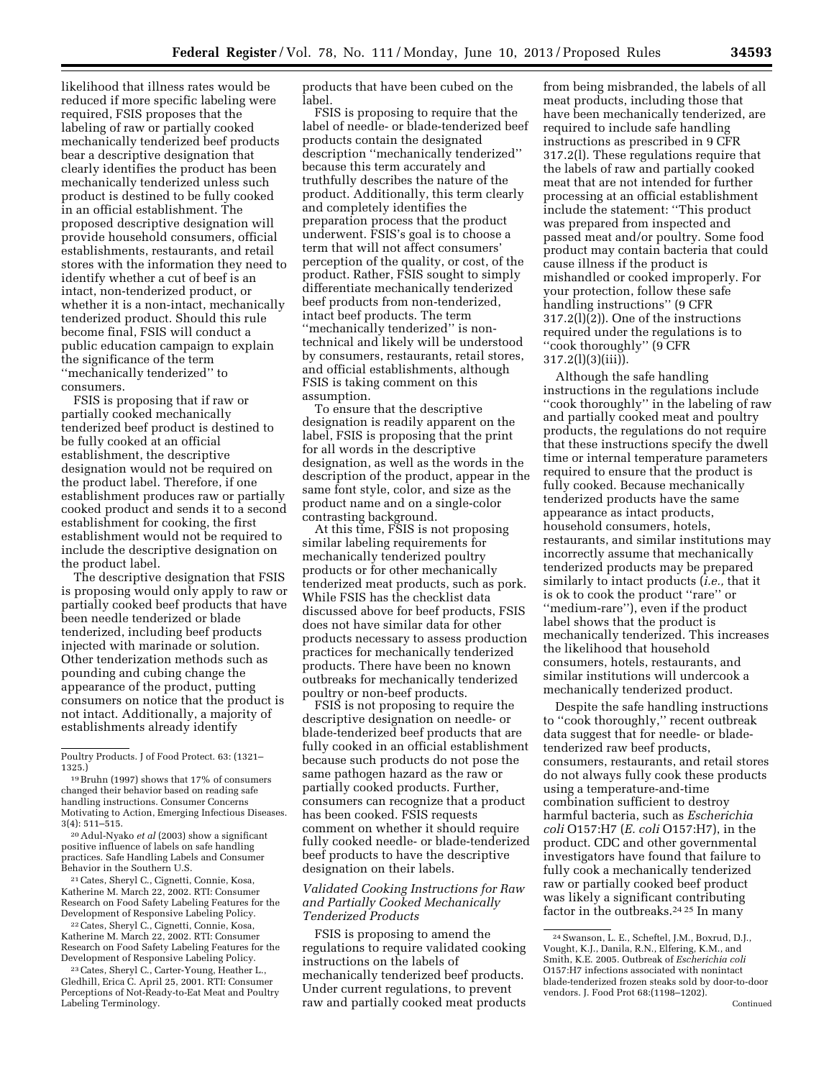likelihood that illness rates would be reduced if more specific labeling were required, FSIS proposes that the labeling of raw or partially cooked mechanically tenderized beef products bear a descriptive designation that clearly identifies the product has been mechanically tenderized unless such product is destined to be fully cooked in an official establishment. The proposed descriptive designation will provide household consumers, official establishments, restaurants, and retail stores with the information they need to identify whether a cut of beef is an intact, non-tenderized product, or whether it is a non-intact, mechanically tenderized product. Should this rule become final, FSIS will conduct a public education campaign to explain the significance of the term ''mechanically tenderized'' to consumers.

FSIS is proposing that if raw or partially cooked mechanically tenderized beef product is destined to be fully cooked at an official establishment, the descriptive designation would not be required on the product label. Therefore, if one establishment produces raw or partially cooked product and sends it to a second establishment for cooking, the first establishment would not be required to include the descriptive designation on the product label.

The descriptive designation that FSIS is proposing would only apply to raw or partially cooked beef products that have been needle tenderized or blade tenderized, including beef products injected with marinade or solution. Other tenderization methods such as pounding and cubing change the appearance of the product, putting consumers on notice that the product is not intact. Additionally, a majority of establishments already identify

21Cates, Sheryl C., Cignetti, Connie, Kosa, Katherine M. March 22, 2002. RTI: Consumer Research on Food Safety Labeling Features for the Development of Responsive Labeling Policy.

22Cates, Sheryl C., Cignetti, Connie, Kosa, Katherine M. March 22, 2002. RTI: Consumer Research on Food Safety Labeling Features for the Development of Responsive Labeling Policy.

23Cates, Sheryl C., Carter-Young, Heather L., Gledhill, Erica C. April 25, 2001. RTI: Consumer Perceptions of Not-Ready-to-Eat Meat and Poultry Labeling Terminology.

products that have been cubed on the label.

FSIS is proposing to require that the label of needle- or blade-tenderized beef products contain the designated description ''mechanically tenderized'' because this term accurately and truthfully describes the nature of the product. Additionally, this term clearly and completely identifies the preparation process that the product underwent. FSIS's goal is to choose a term that will not affect consumers' perception of the quality, or cost, of the product. Rather, FSIS sought to simply differentiate mechanically tenderized beef products from non-tenderized, intact beef products. The term "mechanically tenderized" is nontechnical and likely will be understood by consumers, restaurants, retail stores, and official establishments, although FSIS is taking comment on this assumption.

To ensure that the descriptive designation is readily apparent on the label, FSIS is proposing that the print for all words in the descriptive designation, as well as the words in the description of the product, appear in the same font style, color, and size as the product name and on a single-color contrasting background.

At this time, FSIS is not proposing similar labeling requirements for mechanically tenderized poultry products or for other mechanically tenderized meat products, such as pork. While FSIS has the checklist data discussed above for beef products, FSIS does not have similar data for other products necessary to assess production practices for mechanically tenderized products. There have been no known outbreaks for mechanically tenderized poultry or non-beef products.

FSIS is not proposing to require the descriptive designation on needle- or blade-tenderized beef products that are fully cooked in an official establishment because such products do not pose the same pathogen hazard as the raw or partially cooked products. Further, consumers can recognize that a product has been cooked. FSIS requests comment on whether it should require fully cooked needle- or blade-tenderized beef products to have the descriptive designation on their labels.

# *Validated Cooking Instructions for Raw and Partially Cooked Mechanically Tenderized Products*

FSIS is proposing to amend the regulations to require validated cooking instructions on the labels of mechanically tenderized beef products. Under current regulations, to prevent raw and partially cooked meat products

from being misbranded, the labels of all meat products, including those that have been mechanically tenderized, are required to include safe handling instructions as prescribed in 9 CFR 317.2(l). These regulations require that the labels of raw and partially cooked meat that are not intended for further processing at an official establishment include the statement: ''This product was prepared from inspected and passed meat and/or poultry. Some food product may contain bacteria that could cause illness if the product is mishandled or cooked improperly. For your protection, follow these safe handling instructions'' (9 CFR 317.2(l)(2)). One of the instructions required under the regulations is to ''cook thoroughly'' (9 CFR 317.2(l)(3)(iii)).

Although the safe handling instructions in the regulations include "cook thoroughly" in the labeling of raw and partially cooked meat and poultry products, the regulations do not require that these instructions specify the dwell time or internal temperature parameters required to ensure that the product is fully cooked. Because mechanically tenderized products have the same appearance as intact products, household consumers, hotels, restaurants, and similar institutions may incorrectly assume that mechanically tenderized products may be prepared similarly to intact products (*i.e.,* that it is ok to cook the product ''rare'' or ''medium-rare''), even if the product label shows that the product is mechanically tenderized. This increases the likelihood that household consumers, hotels, restaurants, and similar institutions will undercook a mechanically tenderized product.

Despite the safe handling instructions to ''cook thoroughly,'' recent outbreak data suggest that for needle- or bladetenderized raw beef products, consumers, restaurants, and retail stores do not always fully cook these products using a temperature-and-time combination sufficient to destroy harmful bacteria, such as *Escherichia coli* O157:H7 (*E. coli* O157:H7), in the product. CDC and other governmental investigators have found that failure to fully cook a mechanically tenderized raw or partially cooked beef product was likely a significant contributing factor in the outbreaks.24 25 In many

Poultry Products. J of Food Protect. 63: (1321– 1325.)

<sup>19</sup>Bruhn (1997) shows that 17% of consumers changed their behavior based on reading safe handling instructions. Consumer Concerns Motivating to Action, Emerging Infectious Diseases. 3(4): 511–515.

<sup>20</sup>Adul-Nyako *et al* (2003) show a significant positive influence of labels on safe handling practices. Safe Handling Labels and Consumer Behavior in the Southern U.S.

<sup>24</sup>Swanson, L. E., Scheftel, J.M., Boxrud, D.J., Vought, K.J., Danila, R.N., Elfering, K.M., and Smith, K.E. 2005. Outbreak of *Escherichia coli*  O157:H7 infections associated with nonintact blade-tenderized frozen steaks sold by door-to-door vendors. J. Food Prot 68:(1198–1202).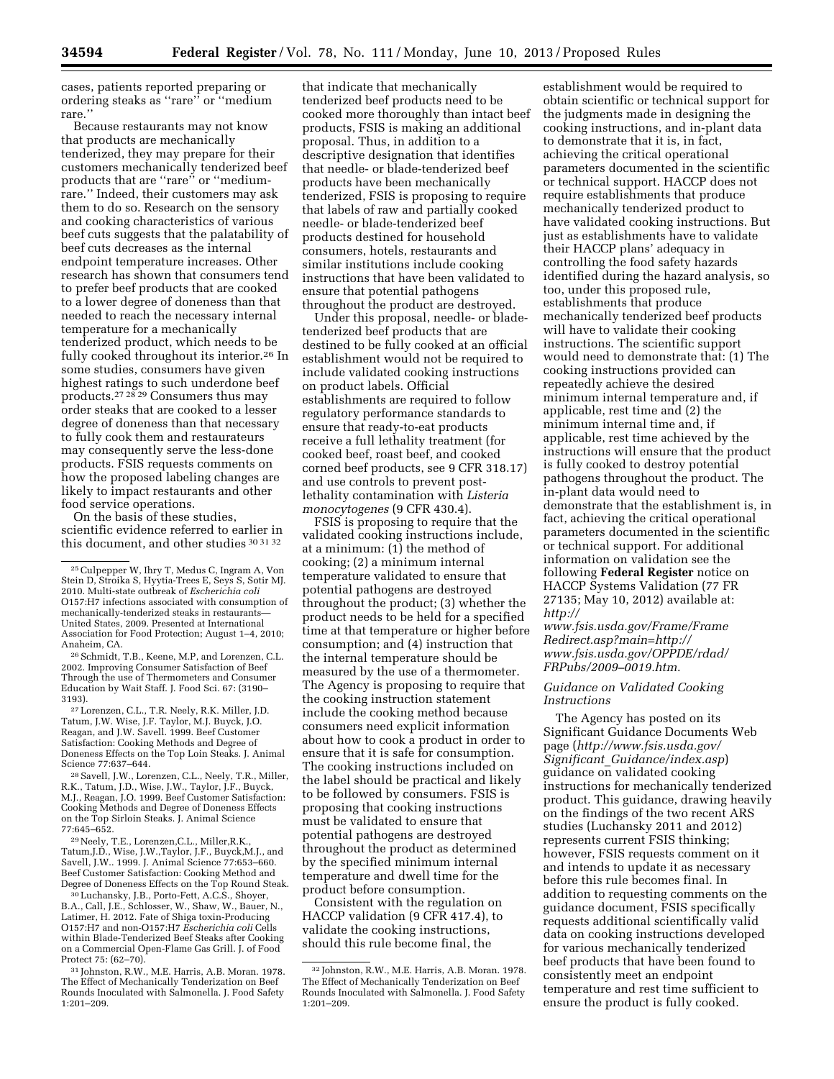cases, patients reported preparing or ordering steaks as ''rare'' or ''medium

rare.'' Because restaurants may not know that products are mechanically tenderized, they may prepare for their customers mechanically tenderized beef products that are "rare" or "mediumrare.'' Indeed, their customers may ask them to do so. Research on the sensory and cooking characteristics of various beef cuts suggests that the palatability of beef cuts decreases as the internal endpoint temperature increases. Other research has shown that consumers tend to prefer beef products that are cooked to a lower degree of doneness than that needed to reach the necessary internal temperature for a mechanically tenderized product, which needs to be fully cooked throughout its interior.<sup>26</sup> In some studies, consumers have given highest ratings to such underdone beef products.27 28 29 Consumers thus may order steaks that are cooked to a lesser degree of doneness than that necessary to fully cook them and restaurateurs may consequently serve the less-done products. FSIS requests comments on how the proposed labeling changes are likely to impact restaurants and other food service operations.

On the basis of these studies, scientific evidence referred to earlier in this document, and other studies 30 31 32

Anaheim, CA. 26 Schmidt, T.B., Keene, M.P, and Lorenzen, C.L. 2002. Improving Consumer Satisfaction of Beef Through the use of Thermometers and Consumer Education by Wait Staff. J. Food Sci. 67: (3190– 3193). 27Lorenzen, C.L., T.R. Neely, R.K. Miller, J.D.

Tatum, J.W. Wise, J.F. Taylor, M.J. Buyck, J.O. Reagan, and J.W. Savell. 1999. Beef Customer Satisfaction: Cooking Methods and Degree of Doneness Effects on the Top Loin Steaks. J. Animal

<sup>28</sup> Savell, J.W., Lorenzen, C.L., Neely, T.R., Miller, R.K., Tatum, J.D., Wise, J.W., Taylor, J.F., Buyck, M.J., Reagan, J.O. 1999. Beef Customer Satisfaction: Cooking Methods and Degree of Doneness Effects on the Top Sirloin Steaks. J. Animal Science

<sup>29</sup>Neely, T.E., Lorenzen, C.L., Miller, R.K., Tatum,J.D., Wise, J.W.,Taylor, J.F., Buyck,M.J., and Savell, J.W.. 1999. J. Animal Science 77:653–660. Beef Customer Satisfaction: Cooking Method and

<sup>30</sup> Luchansky, J.B., Porto-Fett, A.C.S., Shoyer, B.A., Call, J.E., Schlosser, W., Shaw, W., Bauer, N., Latimer, H. 2012. Fate of Shiga toxin-Producing O157:H7 and non-O157:H7 *Escherichia coli* Cells within Blade-Tenderized Beef Steaks after Cooking on a Commercial Open-Flame Gas Grill. J. of Food

<sup>31</sup> Johnston, R.W., M.E. Harris, A.B. Moran. 1978. The Effect of Mechanically Tenderization on Beef Rounds Inoculated with Salmonella. J. Food Safety 1:201–209.

that indicate that mechanically tenderized beef products need to be cooked more thoroughly than intact beef products, FSIS is making an additional proposal. Thus, in addition to a descriptive designation that identifies that needle- or blade-tenderized beef products have been mechanically tenderized, FSIS is proposing to require that labels of raw and partially cooked needle- or blade-tenderized beef products destined for household consumers, hotels, restaurants and similar institutions include cooking instructions that have been validated to ensure that potential pathogens throughout the product are destroyed.

Under this proposal, needle- or bladetenderized beef products that are destined to be fully cooked at an official establishment would not be required to include validated cooking instructions on product labels. Official establishments are required to follow regulatory performance standards to ensure that ready-to-eat products receive a full lethality treatment (for cooked beef, roast beef, and cooked corned beef products, see 9 CFR 318.17) and use controls to prevent postlethality contamination with *Listeria monocytogenes* (9 CFR 430.4).

FSIS is proposing to require that the validated cooking instructions include, at a minimum: (1) the method of cooking; (2) a minimum internal temperature validated to ensure that potential pathogens are destroyed throughout the product; (3) whether the product needs to be held for a specified time at that temperature or higher before consumption; and (4) instruction that the internal temperature should be measured by the use of a thermometer. The Agency is proposing to require that the cooking instruction statement include the cooking method because consumers need explicit information about how to cook a product in order to ensure that it is safe for consumption. The cooking instructions included on the label should be practical and likely to be followed by consumers. FSIS is proposing that cooking instructions must be validated to ensure that potential pathogens are destroyed throughout the product as determined by the specified minimum internal temperature and dwell time for the product before consumption.

Consistent with the regulation on HACCP validation (9 CFR 417.4), to validate the cooking instructions, should this rule become final, the

establishment would be required to obtain scientific or technical support for the judgments made in designing the cooking instructions, and in-plant data to demonstrate that it is, in fact, achieving the critical operational parameters documented in the scientific or technical support. HACCP does not require establishments that produce mechanically tenderized product to have validated cooking instructions. But just as establishments have to validate their HACCP plans' adequacy in controlling the food safety hazards identified during the hazard analysis, so too, under this proposed rule, establishments that produce mechanically tenderized beef products will have to validate their cooking instructions. The scientific support would need to demonstrate that: (1) The cooking instructions provided can repeatedly achieve the desired minimum internal temperature and, if applicable, rest time and (2) the minimum internal time and, if applicable, rest time achieved by the instructions will ensure that the product is fully cooked to destroy potential pathogens throughout the product. The in-plant data would need to demonstrate that the establishment is, in fact, achieving the critical operational parameters documented in the scientific or technical support. For additional information on validation see the following **Federal Register** notice on HACCP Systems Validation (77 FR 27135; May 10, 2012) available at: *http://* 

*www.fsis.usda.gov/Frame/Frame Redirect.asp?main=http:// [www.fsis.usda.gov/OPPDE/rdad/](http://www.fsis.usda.gov/Frame/FrameRedirect.asp?main=http://www.fsis.usda.gov/) FRPubs/2009–0019.htm*.

# *Guidance on Validated Cooking Instructions*

The Agency has posted on its Significant Guidance Documents Web page (*[http://www.fsis.usda.gov/](http://www.fsis.usda.gov/Significant_Guidance/index.asp) Significant*\_*[Guidance/index.asp](http://www.fsis.usda.gov/Significant_Guidance/index.asp)*) guidance on validated cooking instructions for mechanically tenderized product. This guidance, drawing heavily on the findings of the two recent ARS studies (Luchansky 2011 and 2012) represents current FSIS thinking; however, FSIS requests comment on it and intends to update it as necessary before this rule becomes final. In addition to requesting comments on the guidance document, FSIS specifically requests additional scientifically valid data on cooking instructions developed for various mechanically tenderized beef products that have been found to consistently meet an endpoint temperature and rest time sufficient to ensure the product is fully cooked.

<sup>25</sup>Culpepper W, Ihry T, Medus C, Ingram A, Von Stein D, Stroika S, Hyytia-Trees E, Seys S, Sotir MJ. 2010. Multi-state outbreak of *Escherichia coli*  O157:H7 infections associated with consumption of mechanically-tenderized steaks in restaurants— United States, 2009. Presented at International Association for Food Protection; August 1–4, 2010;

<sup>32</sup> Johnston, R.W., M.E. Harris, A.B. Moran. 1978. The Effect of Mechanically Tenderization on Beef Rounds Inoculated with Salmonella. J. Food Safety 1:201–209.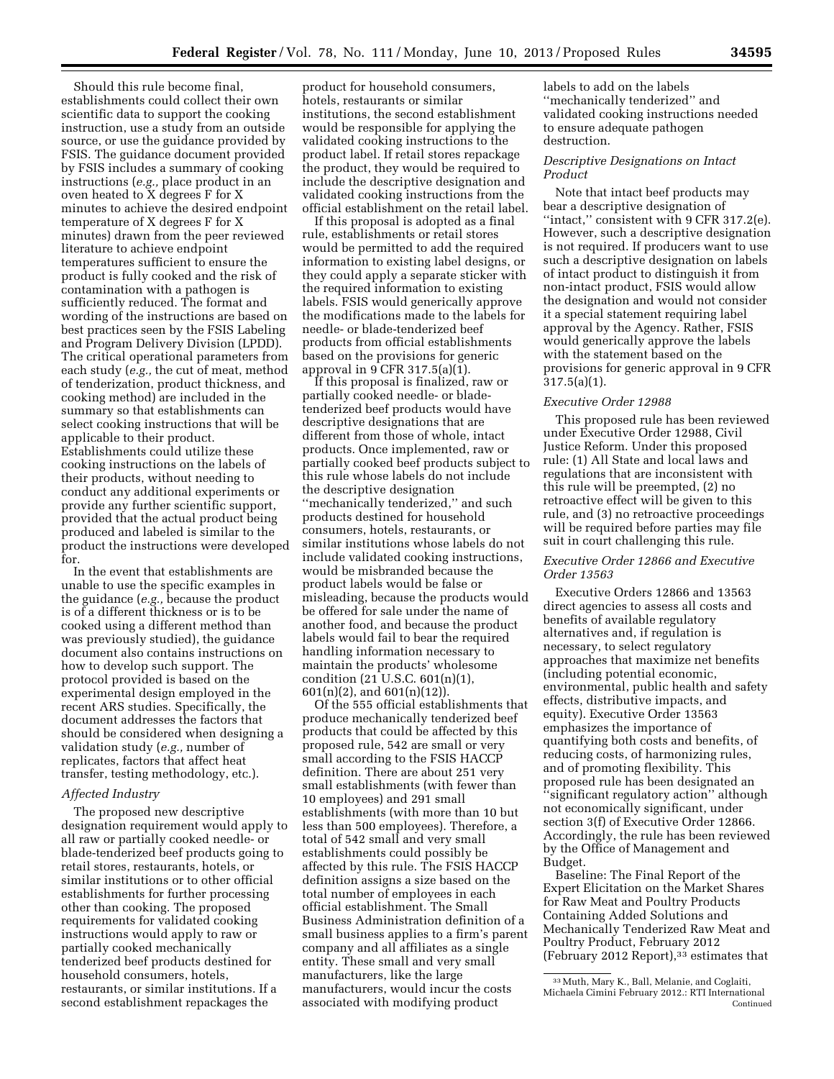Should this rule become final, establishments could collect their own scientific data to support the cooking instruction, use a study from an outside source, or use the guidance provided by FSIS. The guidance document provided by FSIS includes a summary of cooking instructions (*e.g.,* place product in an oven heated to X degrees F for X minutes to achieve the desired endpoint temperature of X degrees F for X minutes) drawn from the peer reviewed literature to achieve endpoint temperatures sufficient to ensure the product is fully cooked and the risk of contamination with a pathogen is sufficiently reduced. The format and wording of the instructions are based on best practices seen by the FSIS Labeling and Program Delivery Division (LPDD). The critical operational parameters from each study (*e.g.,* the cut of meat, method of tenderization, product thickness, and cooking method) are included in the summary so that establishments can select cooking instructions that will be applicable to their product. Establishments could utilize these cooking instructions on the labels of their products, without needing to conduct any additional experiments or provide any further scientific support, provided that the actual product being produced and labeled is similar to the product the instructions were developed for.

In the event that establishments are unable to use the specific examples in the guidance (*e.g.,* because the product is of a different thickness or is to be cooked using a different method than was previously studied), the guidance document also contains instructions on how to develop such support. The protocol provided is based on the experimental design employed in the recent ARS studies. Specifically, the document addresses the factors that should be considered when designing a validation study (*e.g.,* number of replicates, factors that affect heat transfer, testing methodology, etc.).

# *Affected Industry*

The proposed new descriptive designation requirement would apply to all raw or partially cooked needle- or blade-tenderized beef products going to retail stores, restaurants, hotels, or similar institutions or to other official establishments for further processing other than cooking. The proposed requirements for validated cooking instructions would apply to raw or partially cooked mechanically tenderized beef products destined for household consumers, hotels, restaurants, or similar institutions. If a second establishment repackages the

product for household consumers, hotels, restaurants or similar institutions, the second establishment would be responsible for applying the validated cooking instructions to the product label. If retail stores repackage the product, they would be required to include the descriptive designation and validated cooking instructions from the official establishment on the retail label.

If this proposal is adopted as a final rule, establishments or retail stores would be permitted to add the required information to existing label designs, or they could apply a separate sticker with the required information to existing labels. FSIS would generically approve the modifications made to the labels for needle- or blade-tenderized beef products from official establishments based on the provisions for generic approval in 9 CFR 317.5(a) $(i)$ .

If this proposal is finalized, raw or partially cooked needle- or bladetenderized beef products would have descriptive designations that are different from those of whole, intact products. Once implemented, raw or partially cooked beef products subject to this rule whose labels do not include the descriptive designation ''mechanically tenderized,'' and such products destined for household consumers, hotels, restaurants, or similar institutions whose labels do not include validated cooking instructions, would be misbranded because the product labels would be false or misleading, because the products would be offered for sale under the name of another food, and because the product labels would fail to bear the required handling information necessary to maintain the products' wholesome condition (21 U.S.C. 601(n)(1), 601(n)(2), and 601(n)(12)).

Of the 555 official establishments that produce mechanically tenderized beef products that could be affected by this proposed rule, 542 are small or very small according to the FSIS HACCP definition. There are about 251 very small establishments (with fewer than 10 employees) and 291 small establishments (with more than 10 but less than 500 employees). Therefore, a total of 542 small and very small establishments could possibly be affected by this rule. The FSIS HACCP definition assigns a size based on the total number of employees in each official establishment. The Small Business Administration definition of a small business applies to a firm's parent company and all affiliates as a single entity. These small and very small manufacturers, like the large manufacturers, would incur the costs associated with modifying product

labels to add on the labels ''mechanically tenderized'' and validated cooking instructions needed to ensure adequate pathogen destruction.

# *Descriptive Designations on Intact Product*

Note that intact beef products may bear a descriptive designation of ''intact,'' consistent with 9 CFR 317.2(e). However, such a descriptive designation is not required. If producers want to use such a descriptive designation on labels of intact product to distinguish it from non-intact product, FSIS would allow the designation and would not consider it a special statement requiring label approval by the Agency. Rather, FSIS would generically approve the labels with the statement based on the provisions for generic approval in 9 CFR 317.5(a)(1).

# *Executive Order 12988*

This proposed rule has been reviewed under Executive Order 12988, Civil Justice Reform. Under this proposed rule: (1) All State and local laws and regulations that are inconsistent with this rule will be preempted, (2) no retroactive effect will be given to this rule, and (3) no retroactive proceedings will be required before parties may file suit in court challenging this rule.

# *Executive Order 12866 and Executive Order 13563*

Executive Orders 12866 and 13563 direct agencies to assess all costs and benefits of available regulatory alternatives and, if regulation is necessary, to select regulatory approaches that maximize net benefits (including potential economic, environmental, public health and safety effects, distributive impacts, and equity). Executive Order 13563 emphasizes the importance of quantifying both costs and benefits, of reducing costs, of harmonizing rules, and of promoting flexibility. This proposed rule has been designated an ''significant regulatory action'' although not economically significant, under section 3(f) of Executive Order 12866. Accordingly, the rule has been reviewed by the Office of Management and Budget.

Baseline: The Final Report of the Expert Elicitation on the Market Shares for Raw Meat and Poultry Products Containing Added Solutions and Mechanically Tenderized Raw Meat and Poultry Product, February 2012 (February 2012 Report),33 estimates that

<sup>33</sup>Muth, Mary K., Ball, Melanie, and Coglaiti, Michaela Cimini February 2012.: RTI International Continued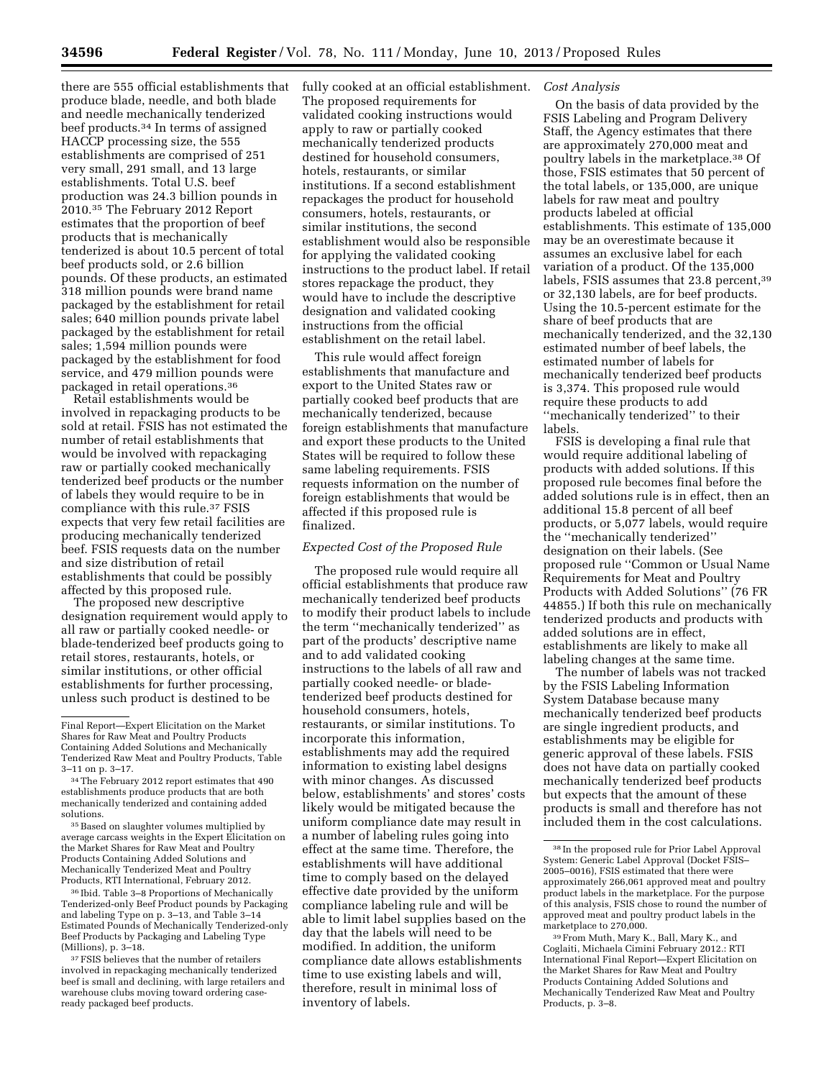there are 555 official establishments that produce blade, needle, and both blade and needle mechanically tenderized beef products.34 In terms of assigned HACCP processing size, the 555 establishments are comprised of 251 very small, 291 small, and 13 large establishments. Total U.S. beef production was 24.3 billion pounds in 2010.35 The February 2012 Report estimates that the proportion of beef products that is mechanically tenderized is about 10.5 percent of total beef products sold, or 2.6 billion pounds. Of these products, an estimated 318 million pounds were brand name packaged by the establishment for retail sales; 640 million pounds private label packaged by the establishment for retail sales; 1,594 million pounds were packaged by the establishment for food service, and 479 million pounds were packaged in retail operations.36

Retail establishments would be involved in repackaging products to be sold at retail. FSIS has not estimated the number of retail establishments that would be involved with repackaging raw or partially cooked mechanically tenderized beef products or the number of labels they would require to be in compliance with this rule.37 FSIS expects that very few retail facilities are producing mechanically tenderized beef. FSIS requests data on the number and size distribution of retail establishments that could be possibly affected by this proposed rule.

The proposed new descriptive designation requirement would apply to all raw or partially cooked needle- or blade-tenderized beef products going to retail stores, restaurants, hotels, or similar institutions, or other official establishments for further processing, unless such product is destined to be

fully cooked at an official establishment. *Cost Analysis*  The proposed requirements for validated cooking instructions would apply to raw or partially cooked mechanically tenderized products destined for household consumers, hotels, restaurants, or similar institutions. If a second establishment repackages the product for household consumers, hotels, restaurants, or similar institutions, the second establishment would also be responsible for applying the validated cooking instructions to the product label. If retail stores repackage the product, they would have to include the descriptive designation and validated cooking instructions from the official establishment on the retail label.

This rule would affect foreign establishments that manufacture and export to the United States raw or partially cooked beef products that are mechanically tenderized, because foreign establishments that manufacture and export these products to the United States will be required to follow these same labeling requirements. FSIS requests information on the number of foreign establishments that would be affected if this proposed rule is finalized.

### *Expected Cost of the Proposed Rule*

The proposed rule would require all official establishments that produce raw mechanically tenderized beef products to modify their product labels to include the term ''mechanically tenderized'' as part of the products' descriptive name and to add validated cooking instructions to the labels of all raw and partially cooked needle- or bladetenderized beef products destined for household consumers, hotels, restaurants, or similar institutions. To incorporate this information, establishments may add the required information to existing label designs with minor changes. As discussed below, establishments' and stores' costs likely would be mitigated because the uniform compliance date may result in a number of labeling rules going into effect at the same time. Therefore, the establishments will have additional time to comply based on the delayed effective date provided by the uniform compliance labeling rule and will be able to limit label supplies based on the day that the labels will need to be modified. In addition, the uniform compliance date allows establishments time to use existing labels and will, therefore, result in minimal loss of inventory of labels.

On the basis of data provided by the FSIS Labeling and Program Delivery Staff, the Agency estimates that there are approximately 270,000 meat and poultry labels in the marketplace.38 Of those, FSIS estimates that 50 percent of the total labels, or 135,000, are unique labels for raw meat and poultry products labeled at official establishments. This estimate of 135,000 may be an overestimate because it assumes an exclusive label for each variation of a product. Of the 135,000 labels, FSIS assumes that 23.8 percent,39 or 32,130 labels, are for beef products. Using the 10.5-percent estimate for the share of beef products that are mechanically tenderized, and the 32,130 estimated number of beef labels, the estimated number of labels for mechanically tenderized beef products is 3,374. This proposed rule would require these products to add ''mechanically tenderized'' to their labels.

FSIS is developing a final rule that would require additional labeling of products with added solutions. If this proposed rule becomes final before the added solutions rule is in effect, then an additional 15.8 percent of all beef products, or 5,077 labels, would require the ''mechanically tenderized'' designation on their labels. (See proposed rule ''Common or Usual Name Requirements for Meat and Poultry Products with Added Solutions'' (76 FR 44855.) If both this rule on mechanically tenderized products and products with added solutions are in effect, establishments are likely to make all labeling changes at the same time.

The number of labels was not tracked by the FSIS Labeling Information System Database because many mechanically tenderized beef products are single ingredient products, and establishments may be eligible for generic approval of these labels. FSIS does not have data on partially cooked mechanically tenderized beef products but expects that the amount of these products is small and therefore has not included them in the cost calculations.

Final Report—Expert Elicitation on the Market Shares for Raw Meat and Poultry Products Containing Added Solutions and Mechanically Tenderized Raw Meat and Poultry Products, Table 3–11 on p. 3–17.

<sup>34</sup>The February 2012 report estimates that 490 establishments produce products that are both mechanically tenderized and containing added solutions.

<sup>35</sup> Based on slaughter volumes multiplied by average carcass weights in the Expert Elicitation on the Market Shares for Raw Meat and Poultry Products Containing Added Solutions and Mechanically Tenderized Meat and Poultry Products, RTI International, February 2012.

<sup>36</sup> Ibid. Table 3–8 Proportions of Mechanically Tenderized-only Beef Product pounds by Packaging and labeling Type on p. 3–13, and Table 3–14 Estimated Pounds of Mechanically Tenderized-only Beef Products by Packaging and Labeling Type (Millions), p. 3–18.

<sup>37</sup>FSIS believes that the number of retailers involved in repackaging mechanically tenderized beef is small and declining, with large retailers and warehouse clubs moving toward ordering caseready packaged beef products.

<sup>38</sup> In the proposed rule for Prior Label Approval System: Generic Label Approval (Docket FSIS– 2005–0016), FSIS estimated that there were approximately 266,061 approved meat and poultry product labels in the marketplace. For the purpose of this analysis, FSIS chose to round the number of approved meat and poultry product labels in the marketplace to 270,000.

<sup>39</sup>From Muth, Mary K., Ball, Mary K., and Coglaiti, Michaela Cimini February 2012.: RTI International Final Report—Expert Elicitation on the Market Shares for Raw Meat and Poultry Products Containing Added Solutions and Mechanically Tenderized Raw Meat and Poultry Products, p. 3–8.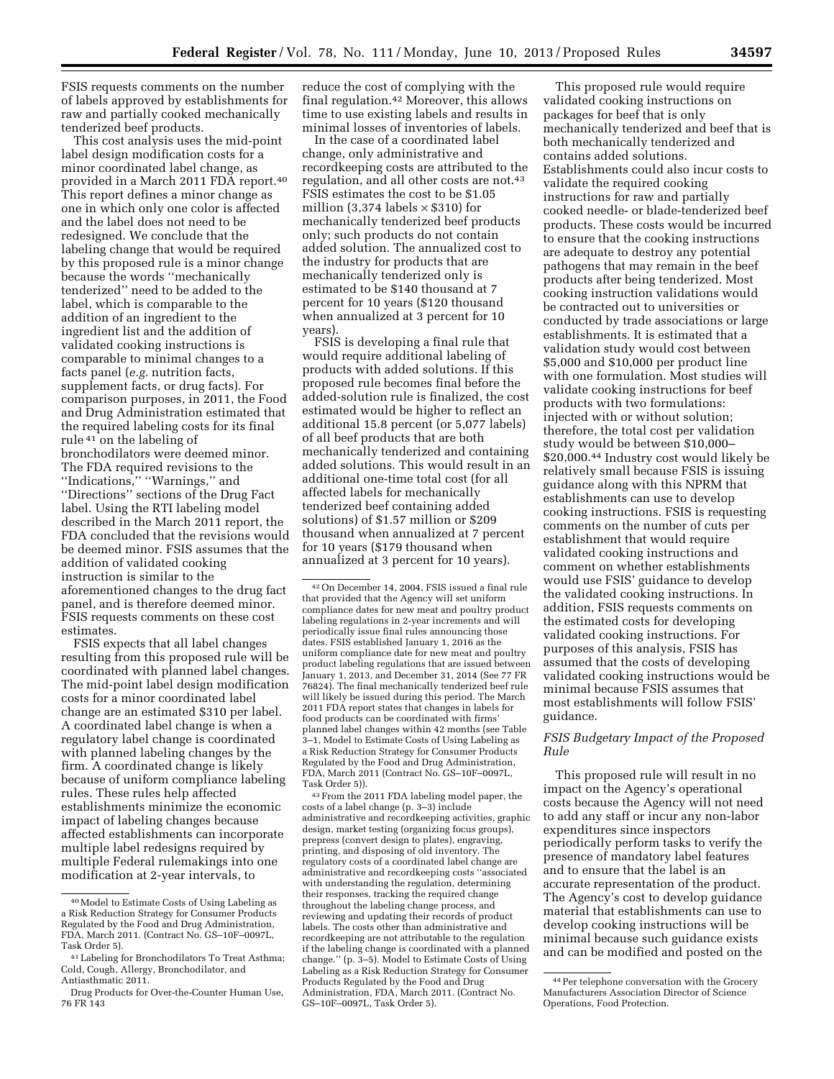FSIS requests comments on the number of labels approved by establishments for raw and partially cooked mechanically tenderized beef products.

This cost analysis uses the mid-point label design modification costs for a minor coordinated label change, as provided in a March 2011 FDA report.<sup>40</sup> This report defines a minor change as one in which only one color is affected and the label does not need to be redesigned. We conclude that the labeling change that would be required by this proposed rule is a minor change because the words ''mechanically tenderized'' need to be added to the label, which is comparable to the addition of an ingredient to the ingredient list and the addition of validated cooking instructions is comparable to minimal changes to a facts panel (*e.g.* nutrition facts, supplement facts, or drug facts). For comparison purposes, in 2011, the Food and Drug Administration estimated that the required labeling costs for its final rule 41 on the labeling of bronchodilators were deemed minor. The FDA required revisions to the ''Indications,'' ''Warnings,'' and ''Directions'' sections of the Drug Fact label. Using the RTI labeling model described in the March 2011 report, the FDA concluded that the revisions would be deemed minor. FSIS assumes that the addition of validated cooking instruction is similar to the aforementioned changes to the drug fact panel, and is therefore deemed minor. FSIS requests comments on these cost estimates.

FSIS expects that all label changes resulting from this proposed rule will be coordinated with planned label changes. The mid-point label design modification costs for a minor coordinated label change are an estimated \$310 per label. A coordinated label change is when a regulatory label change is coordinated with planned labeling changes by the firm. A coordinated change is likely because of uniform compliance labeling rules. These rules help affected establishments minimize the economic impact of labeling changes because affected establishments can incorporate multiple label redesigns required by multiple Federal rulemakings into one modification at 2-year intervals, to

reduce the cost of complying with the final regulation.42 Moreover, this allows time to use existing labels and results in minimal losses of inventories of labels.

In the case of a coordinated label change, only administrative and recordkeeping costs are attributed to the regulation, and all other costs are not.43 FSIS estimates the cost to be \$1.05 million (3,374 labels  $\times$  \$310) for mechanically tenderized beef products only; such products do not contain added solution. The annualized cost to the industry for products that are mechanically tenderized only is estimated to be \$140 thousand at 7 percent for 10 years (\$120 thousand when annualized at 3 percent for 10 years).

FSIS is developing a final rule that would require additional labeling of products with added solutions. If this proposed rule becomes final before the added-solution rule is finalized, the cost estimated would be higher to reflect an additional 15.8 percent (or 5,077 labels) of all beef products that are both mechanically tenderized and containing added solutions. This would result in an additional one-time total cost (for all affected labels for mechanically tenderized beef containing added solutions) of \$1.57 million or \$209 thousand when annualized at 7 percent for 10 years (\$179 thousand when annualized at 3 percent for 10 years).

43From the 2011 FDA labeling model paper, the costs of a label change (p. 3–3) include administrative and recordkeeping activities, graphic design, market testing (organizing focus groups), prepress (convert design to plates), engraving, printing, and disposing of old inventory. The regulatory costs of a coordinated label change are administrative and recordkeeping costs ''associated with understanding the regulation, determining their responses, tracking the required change throughout the labeling change process, and reviewing and updating their records of product labels. The costs other than administrative and recordkeeping are not attributable to the regulation if the labeling change is coordinated with a planned change.'' (p. 3–5). Model to Estimate Costs of Using Labeling as a Risk Reduction Strategy for Consumer Products Regulated by the Food and Drug Administration, FDA, March 2011. (Contract No. GS–10F–0097L, Task Order 5).

This proposed rule would require validated cooking instructions on packages for beef that is only mechanically tenderized and beef that is both mechanically tenderized and contains added solutions. Establishments could also incur costs to validate the required cooking instructions for raw and partially cooked needle- or blade-tenderized beef products. These costs would be incurred to ensure that the cooking instructions are adequate to destroy any potential pathogens that may remain in the beef products after being tenderized. Most cooking instruction validations would be contracted out to universities or conducted by trade associations or large establishments. It is estimated that a validation study would cost between \$5,000 and \$10,000 per product line with one formulation. Most studies will validate cooking instructions for beef products with two formulations: injected with or without solution; therefore, the total cost per validation study would be between \$10,000– \$20,000.44 Industry cost would likely be relatively small because FSIS is issuing guidance along with this NPRM that establishments can use to develop cooking instructions. FSIS is requesting comments on the number of cuts per establishment that would require validated cooking instructions and comment on whether establishments would use FSIS' guidance to develop the validated cooking instructions. In addition, FSIS requests comments on the estimated costs for developing validated cooking instructions. For purposes of this analysis, FSIS has assumed that the costs of developing validated cooking instructions would be minimal because FSIS assumes that most establishments will follow FSIS' guidance.

# *FSIS Budgetary Impact of the Proposed Rule*

This proposed rule will result in no impact on the Agency's operational costs because the Agency will not need to add any staff or incur any non-labor expenditures since inspectors periodically perform tasks to verify the presence of mandatory label features and to ensure that the label is an accurate representation of the product. The Agency's cost to develop guidance material that establishments can use to develop cooking instructions will be minimal because such guidance exists and can be modified and posted on the

<sup>40</sup>Model to Estimate Costs of Using Labeling as a Risk Reduction Strategy for Consumer Products Regulated by the Food and Drug Administration, FDA, March 2011. (Contract No. GS–10F–0097L, Task Order 5).

<sup>41</sup>Labeling for Bronchodilators To Treat Asthma; Cold, Cough, Allergy, Bronchodilator, and Antiasthmatic 2011.

Drug Products for Over-the-Counter Human Use, 76 FR 143

<sup>42</sup>On December 14, 2004, FSIS issued a final rule that provided that the Agency will set uniform compliance dates for new meat and poultry product labeling regulations in 2-year increments and will periodically issue final rules announcing those dates. FSIS established January 1, 2016 as the uniform compliance date for new meat and poultry product labeling regulations that are issued between January 1, 2013, and December 31, 2014 (See 77 FR 76824). The final mechanically tenderized beef rule will likely be issued during this period. The March 2011 FDA report states that changes in labels for food products can be coordinated with firms' planned label changes within 42 months (see Table 3–1, Model to Estimate Costs of Using Labeling as a Risk Reduction Strategy for Consumer Products Regulated by the Food and Drug Administration, FDA, March 2011 (Contract No. GS–10F–0097L, Task Order 5)).

<sup>44</sup>Per telephone conversation with the Grocery Manufacturers Association Director of Science Operations, Food Protection.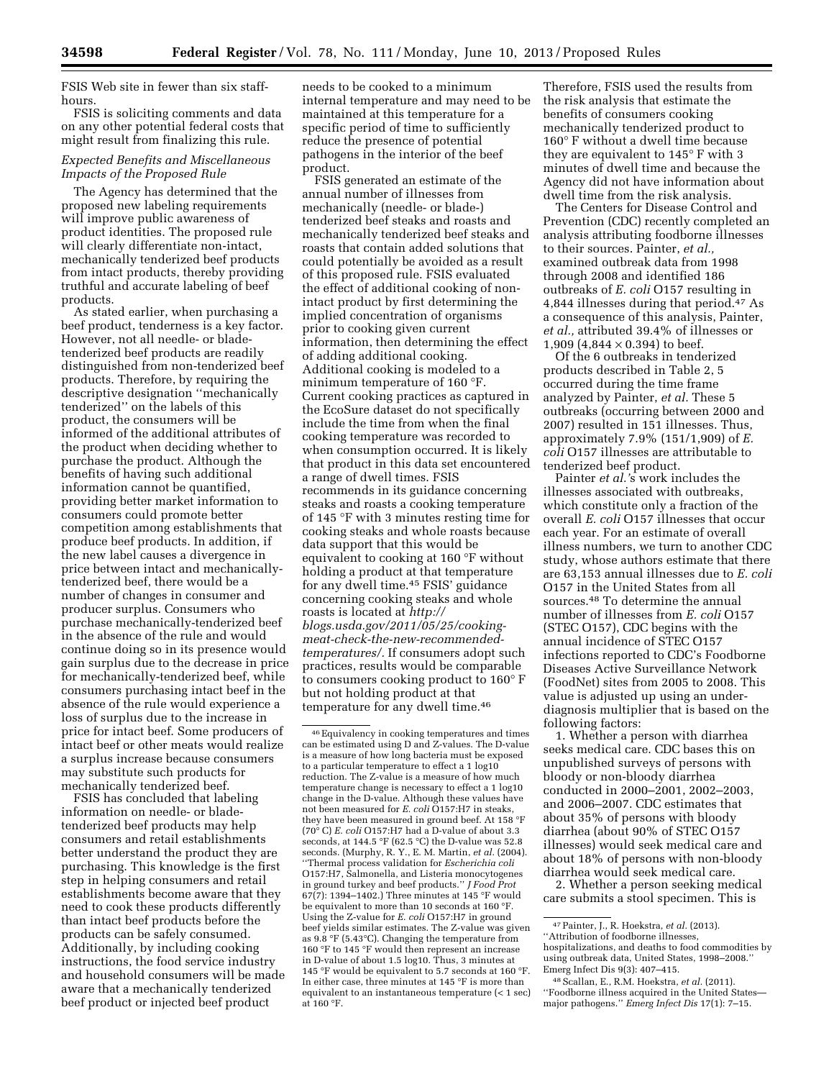FSIS Web site in fewer than six staffhours.

FSIS is soliciting comments and data on any other potential federal costs that might result from finalizing this rule.

### *Expected Benefits and Miscellaneous Impacts of the Proposed Rule*

The Agency has determined that the proposed new labeling requirements will improve public awareness of product identities. The proposed rule will clearly differentiate non-intact, mechanically tenderized beef products from intact products, thereby providing truthful and accurate labeling of beef products.

As stated earlier, when purchasing a beef product, tenderness is a key factor. However, not all needle- or bladetenderized beef products are readily distinguished from non-tenderized beef products. Therefore, by requiring the descriptive designation ''mechanically tenderized'' on the labels of this product, the consumers will be informed of the additional attributes of the product when deciding whether to purchase the product. Although the benefits of having such additional information cannot be quantified, providing better market information to consumers could promote better competition among establishments that produce beef products. In addition, if the new label causes a divergence in price between intact and mechanicallytenderized beef, there would be a number of changes in consumer and producer surplus. Consumers who purchase mechanically-tenderized beef in the absence of the rule and would continue doing so in its presence would gain surplus due to the decrease in price for mechanically-tenderized beef, while consumers purchasing intact beef in the absence of the rule would experience a loss of surplus due to the increase in price for intact beef. Some producers of intact beef or other meats would realize a surplus increase because consumers may substitute such products for mechanically tenderized beef.

FSIS has concluded that labeling information on needle- or bladetenderized beef products may help consumers and retail establishments better understand the product they are purchasing. This knowledge is the first step in helping consumers and retail establishments become aware that they need to cook these products differently than intact beef products before the products can be safely consumed. Additionally, by including cooking instructions, the food service industry and household consumers will be made aware that a mechanically tenderized beef product or injected beef product

needs to be cooked to a minimum internal temperature and may need to be maintained at this temperature for a specific period of time to sufficiently reduce the presence of potential pathogens in the interior of the beef product.

FSIS generated an estimate of the annual number of illnesses from mechanically (needle- or blade-) tenderized beef steaks and roasts and mechanically tenderized beef steaks and roasts that contain added solutions that could potentially be avoided as a result of this proposed rule. FSIS evaluated the effect of additional cooking of nonintact product by first determining the implied concentration of organisms prior to cooking given current information, then determining the effect of adding additional cooking. Additional cooking is modeled to a minimum temperature of 160 °F. Current cooking practices as captured in the EcoSure dataset do not specifically include the time from when the final cooking temperature was recorded to when consumption occurred. It is likely that product in this data set encountered a range of dwell times. FSIS recommends in its guidance concerning steaks and roasts a cooking temperature of 145 °F with 3 minutes resting time for cooking steaks and whole roasts because data support that this would be equivalent to cooking at 160 °F without holding a product at that temperature for any dwell time.45 FSIS' guidance concerning cooking steaks and whole roasts is located at *[http://](http://blogs.usda.gov/2011/05/25/cooking-meat-check-the-new-recommended-temperatures/)  [blogs.usda.gov/2011/05/25/cooking](http://blogs.usda.gov/2011/05/25/cooking-meat-check-the-new-recommended-temperatures/)meat-check-the-new-recommended[temperatures/.](http://blogs.usda.gov/2011/05/25/cooking-meat-check-the-new-recommended-temperatures/)* If consumers adopt such practices, results would be comparable to consumers cooking product to 160° F but not holding product at that temperature for any dwell time.46

Therefore, FSIS used the results from the risk analysis that estimate the benefits of consumers cooking mechanically tenderized product to 160° F without a dwell time because they are equivalent to 145° F with 3 minutes of dwell time and because the Agency did not have information about dwell time from the risk analysis.

The Centers for Disease Control and Prevention (CDC) recently completed an analysis attributing foodborne illnesses to their sources. Painter, *et al.,*  examined outbreak data from 1998 through 2008 and identified 186 outbreaks of *E. coli* O157 resulting in 4,844 illnesses during that period.47 As a consequence of this analysis, Painter, *et al.,* attributed 39.4% of illnesses or 1,909 (4,844  $\times$  0.394) to beef.

Of the 6 outbreaks in tenderized products described in Table 2, 5 occurred during the time frame analyzed by Painter, *et al.* These 5 outbreaks (occurring between 2000 and 2007) resulted in 151 illnesses. Thus, approximately 7.9% (151/1,909) of *E. coli* O157 illnesses are attributable to tenderized beef product.

Painter *et al.'*s work includes the illnesses associated with outbreaks, which constitute only a fraction of the overall *E. coli* O157 illnesses that occur each year. For an estimate of overall illness numbers, we turn to another CDC study, whose authors estimate that there are 63,153 annual illnesses due to *E. coli*  O157 in the United States from all sources.48 To determine the annual number of illnesses from *E. coli* O157 (STEC O157), CDC begins with the annual incidence of STEC O157 infections reported to CDC's Foodborne Diseases Active Surveillance Network (FoodNet) sites from 2005 to 2008. This value is adjusted up using an underdiagnosis multiplier that is based on the following factors:

1. Whether a person with diarrhea seeks medical care. CDC bases this on unpublished surveys of persons with bloody or non-bloody diarrhea conducted in 2000–2001, 2002–2003, and 2006–2007. CDC estimates that about 35% of persons with bloody diarrhea (about 90% of STEC O157 illnesses) would seek medical care and about 18% of persons with non-bloody diarrhea would seek medical care.

2. Whether a person seeking medical care submits a stool specimen. This is

<sup>46</sup>Equivalency in cooking temperatures and times can be estimated using D and Z-values. The D-value is a measure of how long bacteria must be exposed to a particular temperature to effect a 1 log10 reduction. The Z-value is a measure of how much temperature change is necessary to effect a 1 log10 change in the D-value. Although these values have not been measured for *E. coli* O157:H7 in steaks, they have been measured in ground beef. At 158 °F (70° C) *E. coli* O157:H7 had a D-value of about 3.3 seconds, at 144.5 °F (62.5 °C) the D-value was 52.8 seconds. (Murphy, R. Y., E. M. Martin, *et al.* (2004). ''Thermal process validation for *Escherichia coli*  O157:H7, Salmonella, and Listeria monocytogenes in ground turkey and beef products.'' *J Food Prot*   $67(7)$ : 1394–1402.) Three minutes at 145 °F would be equivalent to more than 10 seconds at 160 °F. Using the Z-value for *E. coli* O157:H7 in ground beef yields similar estimates. The Z-value was given as 9.8 °F (5.43°C). Changing the temperature from 160 °F to 145 °F would then represent an increase in D-value of about 1.5 log10. Thus, 3 minutes at 145 °F would be equivalent to 5.7 seconds at 160 °F. In either case, three minutes at 145  $^{\circ}\mathrm{F}$  is more than equivalent to an instantaneous temperature (< 1 sec) at  $160 °F$ .

<sup>47</sup>Painter, J., R. Hoekstra, *et al.* (2013).

<sup>&#</sup>x27;'Attribution of foodborne illnesses, hospitalizations, and deaths to food commodities by using outbreak data, United States, 1998–2008.'' Emerg Infect Dis 9(3): 407–415.

<sup>48</sup>Scallan, E., R.M. Hoekstra, *et al.* (2011). ''Foodborne illness acquired in the United States major pathogens.'' *Emerg Infect Dis* 17(1): 7–15.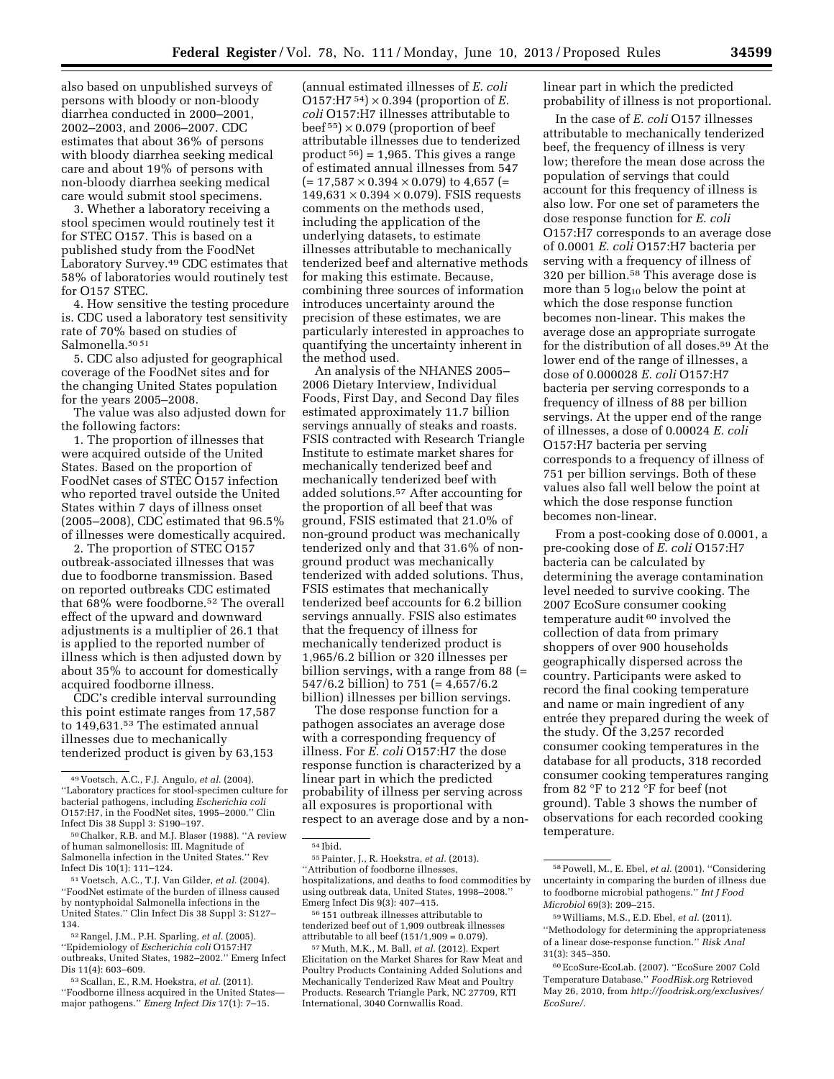also based on unpublished surveys of persons with bloody or non-bloody diarrhea conducted in 2000–2001, 2002–2003, and 2006–2007. CDC estimates that about 36% of persons with bloody diarrhea seeking medical care and about 19% of persons with non-bloody diarrhea seeking medical care would submit stool specimens.

3. Whether a laboratory receiving a stool specimen would routinely test it for STEC O157. This is based on a published study from the FoodNet Laboratory Survey.49 CDC estimates that 58% of laboratories would routinely test for O157 STEC.

4. How sensitive the testing procedure is. CDC used a laboratory test sensitivity rate of 70% based on studies of Salmonella.<sup>50</sup>51

5. CDC also adjusted for geographical coverage of the FoodNet sites and for the changing United States population for the years 2005–2008.

The value was also adjusted down for the following factors:

1. The proportion of illnesses that were acquired outside of the United States. Based on the proportion of FoodNet cases of STEC O157 infection who reported travel outside the United States within 7 days of illness onset (2005–2008), CDC estimated that 96.5% of illnesses were domestically acquired.

2. The proportion of STEC O157 outbreak-associated illnesses that was due to foodborne transmission. Based on reported outbreaks CDC estimated that 68% were foodborne.52 The overall effect of the upward and downward adjustments is a multiplier of 26.1 that is applied to the reported number of illness which is then adjusted down by about 35% to account for domestically acquired foodborne illness.

CDC's credible interval surrounding this point estimate ranges from 17,587 to 149,631.53 The estimated annual illnesses due to mechanically tenderized product is given by 63,153

51 Voetsch, A.C., T.J. Van Gilder, *et al.* (2004). ''FoodNet estimate of the burden of illness caused by nontyphoidal Salmonella infections in the United States.'' Clin Infect Dis 38 Suppl 3: S127– 134.

53Scallan, E., R.M. Hoekstra, *et al.* (2011). ''Foodborne illness acquired in the United States major pathogens.'' *Emerg Infect Dis* 17(1): 7–15.

(annual estimated illnesses of *E. coli*   $O157:H7^{54}$  × 0.394 (proportion of *E*. *coli* O157:H7 illnesses attributable to beef  $55$ )  $\times$  0.079 (proportion of beef attributable illnesses due to tenderized product  $56$  = 1,965. This gives a range of estimated annual illnesses from 547  $(= 17,587 \times 0.394 \times 0.079)$  to 4,657 (=  $149,631 \times 0.394 \times 0.079$ . FSIS requests comments on the methods used, including the application of the underlying datasets, to estimate illnesses attributable to mechanically tenderized beef and alternative methods for making this estimate. Because, combining three sources of information introduces uncertainty around the precision of these estimates, we are particularly interested in approaches to quantifying the uncertainty inherent in the method used.

An analysis of the NHANES 2005– 2006 Dietary Interview, Individual Foods, First Day, and Second Day files estimated approximately 11.7 billion servings annually of steaks and roasts. FSIS contracted with Research Triangle Institute to estimate market shares for mechanically tenderized beef and mechanically tenderized beef with added solutions.57 After accounting for the proportion of all beef that was ground, FSIS estimated that 21.0% of non-ground product was mechanically tenderized only and that 31.6% of nonground product was mechanically tenderized with added solutions. Thus, FSIS estimates that mechanically tenderized beef accounts for 6.2 billion servings annually. FSIS also estimates that the frequency of illness for mechanically tenderized product is 1,965/6.2 billion or 320 illnesses per billion servings, with a range from 88 (= 547/6.2 billion) to 751 (= 4,657/6.2 billion) illnesses per billion servings.

The dose response function for a pathogen associates an average dose with a corresponding frequency of illness. For *E. coli* O157:H7 the dose response function is characterized by a linear part in which the predicted probability of illness per serving across all exposures is proportional with respect to an average dose and by a non-

56 151 outbreak illnesses attributable to tenderized beef out of 1,909 outbreak illnesses attributable to all beef  $(151/1,909 = 0.079)$ .

linear part in which the predicted probability of illness is not proportional.

In the case of *E. coli* O157 illnesses attributable to mechanically tenderized beef, the frequency of illness is very low; therefore the mean dose across the population of servings that could account for this frequency of illness is also low. For one set of parameters the dose response function for *E. coli*  O157:H7 corresponds to an average dose of 0.0001 *E. coli* O157:H7 bacteria per serving with a frequency of illness of 320 per billion.58 This average dose is more than 5  $log_{10}$  below the point at which the dose response function becomes non-linear. This makes the average dose an appropriate surrogate for the distribution of all doses.59 At the lower end of the range of illnesses, a dose of 0.000028 *E. coli* O157:H7 bacteria per serving corresponds to a frequency of illness of 88 per billion servings. At the upper end of the range of illnesses, a dose of 0.00024 *E. coli*  O157:H7 bacteria per serving corresponds to a frequency of illness of 751 per billion servings. Both of these values also fall well below the point at which the dose response function becomes non-linear.

From a post-cooking dose of 0.0001, a pre-cooking dose of *E. coli* O157:H7 bacteria can be calculated by determining the average contamination level needed to survive cooking. The 2007 EcoSure consumer cooking temperature audit <sup>60</sup> involved the collection of data from primary shoppers of over 900 households geographically dispersed across the country. Participants were asked to record the final cooking temperature and name or main ingredient of any entrée they prepared during the week of the study. Of the 3,257 recorded consumer cooking temperatures in the database for all products, 318 recorded consumer cooking temperatures ranging from 82 °F to 212 °F for beef (not ground). Table 3 shows the number of observations for each recorded cooking temperature.

<sup>49</sup> Voetsch, A.C., F.J. Angulo, *et al.* (2004). ''Laboratory practices for stool-specimen culture for bacterial pathogens, including *Escherichia coli*  O157:H7, in the FoodNet sites, 1995–2000.'' Clin Infect Dis 38 Suppl 3: S190–197.

<sup>50</sup>Chalker, R.B. and M.J. Blaser (1988). ''A review of human salmonellosis: III. Magnitude of Salmonella infection in the United States.'' Rev Infect Dis 10(1): 111–124.

<sup>52</sup>Rangel, J.M., P.H. Sparling, *et al.* (2005). ''Epidemiology of *Escherichia coli* O157:H7 outbreaks, United States, 1982–2002.'' Emerg Infect Dis 11(4): 603–609.

<sup>54</sup> Ibid.

<sup>55</sup>Painter, J., R. Hoekstra, *et al.* (2013). ''Attribution of foodborne illnesses, hospitalizations, and deaths to food commodities by using outbreak data, United States, 1998–2008.'' Emerg Infect Dis 9(3): 407–415.

<sup>57</sup>Muth, M.K., M. Ball, *et al.* (2012). Expert Elicitation on the Market Shares for Raw Meat and Poultry Products Containing Added Solutions and Mechanically Tenderized Raw Meat and Poultry Products. Research Triangle Park, NC 27709, RTI International, 3040 Cornwallis Road.

<sup>58</sup>Powell, M., E. Ebel, *et al.* (2001). ''Considering uncertainty in comparing the burden of illness due to foodborne microbial pathogens.'' *Int J Food Microbiol* 69(3): 209–215.

<sup>59</sup>Williams, M.S., E.D. Ebel, *et al.* (2011). ''Methodology for determining the appropriateness of a linear dose-response function.'' *Risk Anal*  31(3): 345–350.

<sup>60</sup>EcoSure-EcoLab. (2007). ''EcoSure 2007 Cold Temperature Database.'' *FoodRisk.org* Retrieved May 26, 2010, from *[http://foodrisk.org/exclusives/](http://foodrisk.org/exclusives/EcoSure/) [EcoSure/.](http://foodrisk.org/exclusives/EcoSure/)*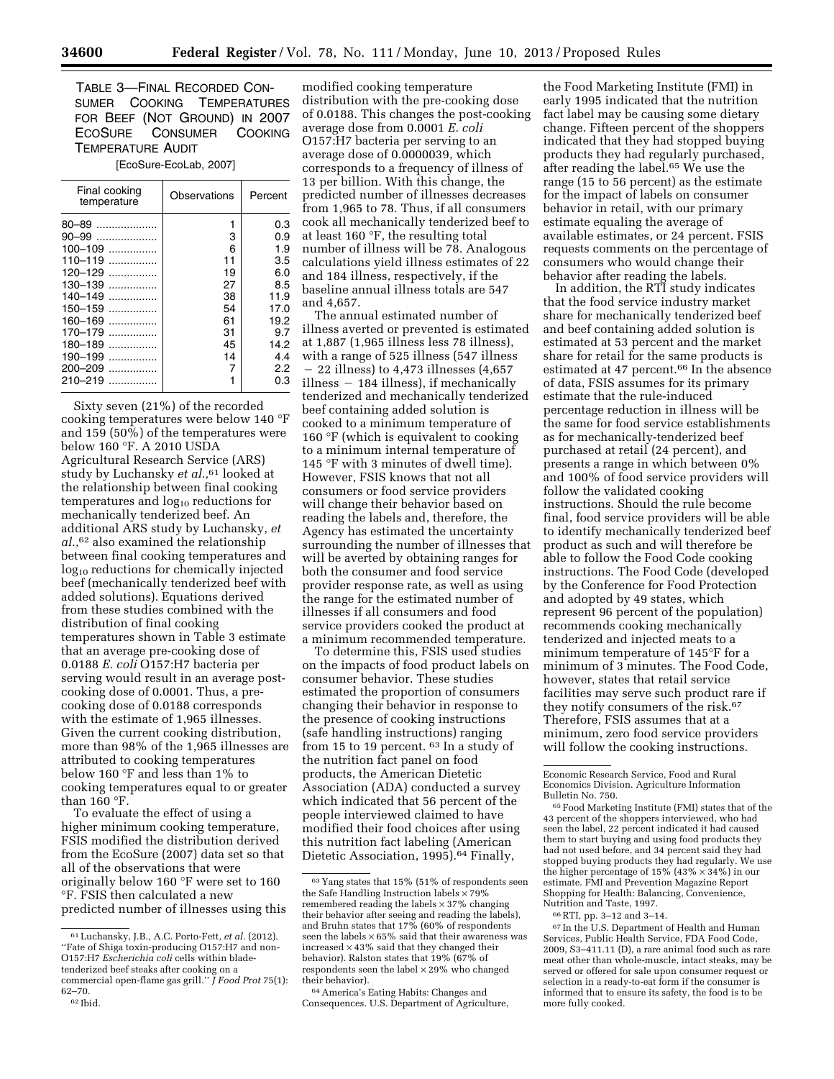TABLE 3—FINAL RECORDED CON-SUMER COOKING TEMPERATURES FOR BEEF (NOT GROUND) IN 2007 ECOSURE CONSUMER COOKING TEMPERATURE AUDIT

[EcoSure-EcoLab, 2007]

| Final cooking<br>temperature | Observations | Percent |
|------------------------------|--------------|---------|
| $80 - 89$                    | 1            | 0.3     |
| 90–99<br>                    | 3            | 0.9     |
| 100-109                      | 6            | 1.9     |
| $110 - 119$<br>              | 11           | 3.5     |
| 120–129                      | 19           | 6.0     |
| 130–139<br>.                 | 27           | 8.5     |
| 140–149<br>.                 | 38           | 11.9    |
| 150-159                      | 54           | 17.0    |
| 160-169<br>                  | 61           | 19.2    |
| 170–179<br>.                 | 31           | 9.7     |
| 180–189<br>.                 | 45           | 14.2    |
| 190–199<br>.                 | 14           | 4.4     |
| 200-209<br>.                 |              | 2.2     |
| 210-219                      |              | 0.3     |
|                              |              |         |

Sixty seven (21%) of the recorded cooking temperatures were below 140 °F and 159 (50%) of the temperatures were below 160 °F. A 2010 USDA Agricultural Research Service (ARS) study by Luchansky *et al.,*61 looked at the relationship between final cooking temperatures and  $log_{10}$  reductions for mechanically tenderized beef. An additional ARS study by Luchansky, *et al.,*62 also examined the relationship between final cooking temperatures and log<sub>10</sub> reductions for chemically injected beef (mechanically tenderized beef with added solutions). Equations derived from these studies combined with the distribution of final cooking temperatures shown in Table 3 estimate that an average pre-cooking dose of 0.0188 *E. coli* O157:H7 bacteria per serving would result in an average postcooking dose of 0.0001. Thus, a precooking dose of 0.0188 corresponds with the estimate of 1,965 illnesses. Given the current cooking distribution, more than 98% of the 1,965 illnesses are attributed to cooking temperatures below 160 °F and less than 1% to cooking temperatures equal to or greater than 160 °F.

To evaluate the effect of using a higher minimum cooking temperature, FSIS modified the distribution derived from the EcoSure (2007) data set so that all of the observations that were originally below 160 °F were set to 160 °F. FSIS then calculated a new predicted number of illnesses using this

modified cooking temperature distribution with the pre-cooking dose of 0.0188. This changes the post-cooking average dose from 0.0001 *E. coli*  O157:H7 bacteria per serving to an average dose of 0.0000039, which corresponds to a frequency of illness of 13 per billion. With this change, the predicted number of illnesses decreases from 1,965 to 78. Thus, if all consumers cook all mechanically tenderized beef to at least 160 °F, the resulting total number of illness will be 78. Analogous calculations yield illness estimates of 22 and 184 illness, respectively, if the baseline annual illness totals are 547 and 4,657.

The annual estimated number of illness averted or prevented is estimated at 1,887 (1,965 illness less 78 illness), with a range of 525 illness (547 illness  $-$  22 illness) to 4,473 illnesses (4,657  $illness - 184$  illness), if mechanically tenderized and mechanically tenderized beef containing added solution is cooked to a minimum temperature of 160 °F (which is equivalent to cooking to a minimum internal temperature of 145 °F with 3 minutes of dwell time). However, FSIS knows that not all consumers or food service providers will change their behavior based on reading the labels and, therefore, the Agency has estimated the uncertainty surrounding the number of illnesses that will be averted by obtaining ranges for both the consumer and food service provider response rate, as well as using the range for the estimated number of illnesses if all consumers and food service providers cooked the product at a minimum recommended temperature.

To determine this, FSIS used studies on the impacts of food product labels on consumer behavior. These studies estimated the proportion of consumers changing their behavior in response to the presence of cooking instructions (safe handling instructions) ranging from 15 to 19 percent. 63 In a study of the nutrition fact panel on food products, the American Dietetic Association (ADA) conducted a survey which indicated that 56 percent of the people interviewed claimed to have modified their food choices after using this nutrition fact labeling (American Dietetic Association, 1995).64 Finally,

64America's Eating Habits: Changes and Consequences. U.S. Department of Agriculture,

the Food Marketing Institute (FMI) in early 1995 indicated that the nutrition fact label may be causing some dietary change. Fifteen percent of the shoppers indicated that they had stopped buying products they had regularly purchased, after reading the label.65 We use the range (15 to 56 percent) as the estimate for the impact of labels on consumer behavior in retail, with our primary estimate equaling the average of available estimates, or 24 percent. FSIS requests comments on the percentage of consumers who would change their behavior after reading the labels.

In addition, the RTI study indicates that the food service industry market share for mechanically tenderized beef and beef containing added solution is estimated at 53 percent and the market share for retail for the same products is estimated at 47 percent.<sup>66</sup> In the absence of data, FSIS assumes for its primary estimate that the rule-induced percentage reduction in illness will be the same for food service establishments as for mechanically-tenderized beef purchased at retail (24 percent), and presents a range in which between 0% and 100% of food service providers will follow the validated cooking instructions. Should the rule become final, food service providers will be able to identify mechanically tenderized beef product as such and will therefore be able to follow the Food Code cooking instructions. The Food Code (developed by the Conference for Food Protection and adopted by 49 states, which represent 96 percent of the population) recommends cooking mechanically tenderized and injected meats to a minimum temperature of 145°F for a minimum of 3 minutes. The Food Code, however, states that retail service facilities may serve such product rare if they notify consumers of the risk.67 Therefore, FSIS assumes that at a minimum, zero food service providers will follow the cooking instructions.

Economic Research Service, Food and Rural Economics Division. Agriculture Information

Bulletin No. 750.<br><sup>65</sup> Food Marketing Institute (FMI) states that of the 43 percent of the shoppers interviewed, who had seen the label, 22 percent indicated it had caused them to start buying and using food products they had not used before, and 34 percent said they had stopped buying products they had regularly. We use the higher percentage of 15% (43% × 34%) in our estimate. FMI and Prevention Magazine Report Shopping for Health: Balancing, Convenience, Nutrition and Taste, 1997.

67 In the U.S. Department of Health and Human Services, Public Health Service, FDA Food Code, 2009, S3–411.11 (D), a rare animal food such as rare meat other than whole-muscle, intact steaks, may be served or offered for sale upon consumer request or selection in a ready-to-eat form if the consumer is informed that to ensure its safety, the food is to be more fully cooked.

<sup>61</sup>Luchansky, J.B., A.C. Porto-Fett, *et al.* (2012). ''Fate of Shiga toxin-producing O157:H7 and non-O157:H7 *Escherichia coli* cells within bladetenderized beef steaks after cooking on a commercial open-flame gas grill.'' *J Food Prot* 75(1): 62–70.

<sup>62</sup> Ibid.

 $^{63}\rm{Yang}$  states that 15% (51% of respondents seen the Safe Handling Instruction labels  $\times$  79% remembered reading the labels  $\times\,37\%$  changing their behavior after seeing and reading the labels), and Bruhn states that 17% (60% of respondents seen the labels  $\times\,65\%$  said that their awareness was increased  $\times$  43% said that they changed their behavior). Ralston states that 19% (67% of respondents seen the label  $\times$  29% who changed their behavior).

<sup>66</sup>RTI, pp. 3–12 and 3–14.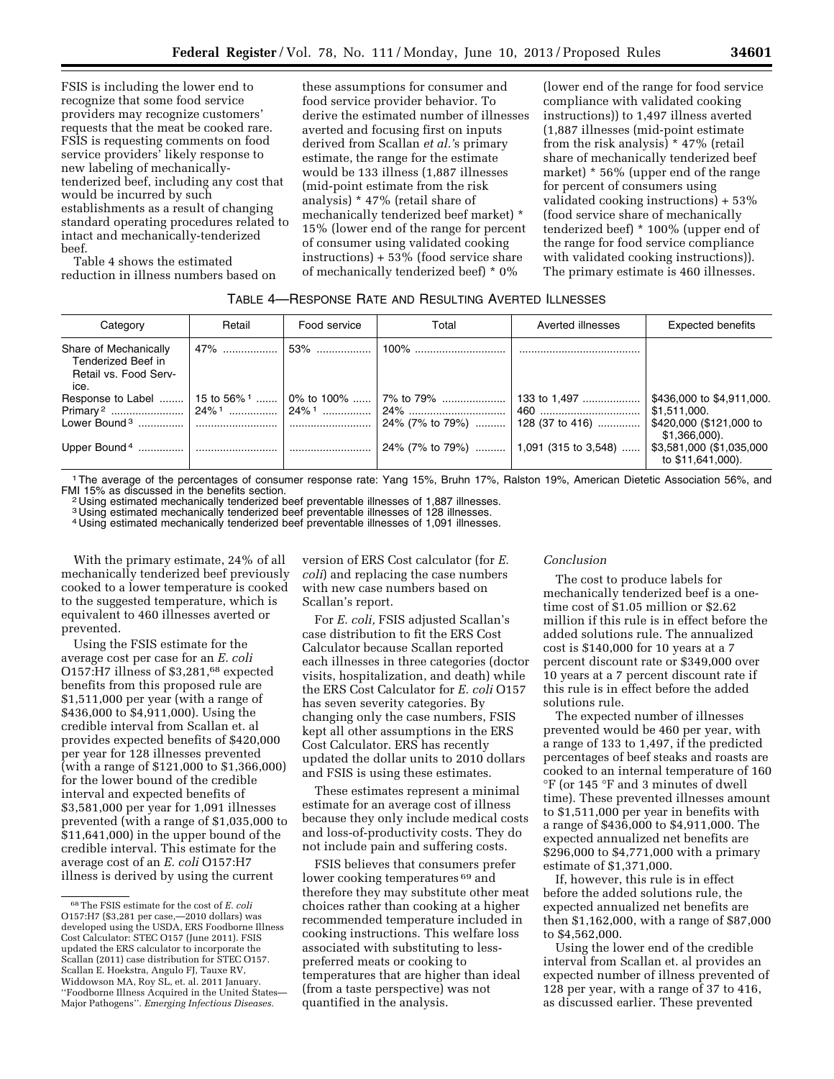FSIS is including the lower end to recognize that some food service providers may recognize customers' requests that the meat be cooked rare. FSIS is requesting comments on food service providers' likely response to new labeling of mechanicallytenderized beef, including any cost that would be incurred by such establishments as a result of changing standard operating procedures related to intact and mechanically-tenderized beef.

Table 4 shows the estimated reduction in illness numbers based on these assumptions for consumer and food service provider behavior. To derive the estimated number of illnesses averted and focusing first on inputs derived from Scallan *et al.'*s primary estimate, the range for the estimate would be 133 illness (1,887 illnesses (mid-point estimate from the risk analysis) \* 47% (retail share of mechanically tenderized beef market) \* 15% (lower end of the range for percent of consumer using validated cooking instructions) + 53% (food service share of mechanically tenderized beef) \* 0%

(lower end of the range for food service compliance with validated cooking instructions)) to 1,497 illness averted (1,887 illnesses (mid-point estimate from the risk analysis) \* 47% (retail share of mechanically tenderized beef market) \* 56% (upper end of the range for percent of consumers using validated cooking instructions) + 53% (food service share of mechanically tenderized beef) \* 100% (upper end of the range for food service compliance with validated cooking instructions)). The primary estimate is 460 illnesses.

# TABLE 4—RESPONSE RATE AND RESULTING AVERTED ILLNESSES

| Category                                                                     | Retail | Food service | Total                                                                                                                                      | Averted illnesses | <b>Expected benefits</b>                                                              |
|------------------------------------------------------------------------------|--------|--------------|--------------------------------------------------------------------------------------------------------------------------------------------|-------------------|---------------------------------------------------------------------------------------|
| Share of Mechanically<br>Tenderized Beef in<br>Retail vs. Food Serv-<br>ice. |        |              |                                                                                                                                            |                   |                                                                                       |
|                                                                              |        |              | Response to Label ……   15 to 56% <sup>1</sup> …….   0% to 100% ……   7% to 79% ……   133 to 1,497 ……<br>  24% (7% to 79%)    128 (37 to 416) |                   | \$436,000 to \$4,911,000.<br>\$1,511,000.<br>\$420,000 (\$121,000 to<br>\$1,366,000). |
|                                                                              |        |              | 24% (7% to 79%)    1,091 (315 to 3,548)                                                                                                    |                   | \$3,581,000 (\$1,035,000<br>to \$11,641,000).                                         |

<sup>1</sup>The average of the percentages of consumer response rate: Yang 15%, Bruhn 17%, Ralston 19%, American Dietetic Association 56%, and<br>FMI 15% as discussed in the benefits section.

<sup>2</sup> Using estimated mechanically tenderized beef preventable illnesses of 1,887 illnesses.

3 Using estimated mechanically tenderized beef preventable illnesses of 128 illnesses. 4 Using estimated mechanically tenderized beef preventable illnesses of 1,091 illnesses.

With the primary estimate, 24% of all mechanically tenderized beef previously cooked to a lower temperature is cooked to the suggested temperature, which is equivalent to 460 illnesses averted or prevented.

Using the FSIS estimate for the average cost per case for an *E. coli*  O157:H7 illness of \$3,281,<sup>68</sup> expected benefits from this proposed rule are \$1,511,000 per year (with a range of \$436,000 to \$4,911,000). Using the credible interval from Scallan et. al provides expected benefits of \$420,000 per year for 128 illnesses prevented (with a range of \$121,000 to \$1,366,000) for the lower bound of the credible interval and expected benefits of \$3,581,000 per year for 1,091 illnesses prevented (with a range of \$1,035,000 to \$11,641,000) in the upper bound of the credible interval. This estimate for the average cost of an *E. coli* O157:H7 illness is derived by using the current

version of ERS Cost calculator (for *E. coli*) and replacing the case numbers with new case numbers based on Scallan's report.

For *E. coli,* FSIS adjusted Scallan's case distribution to fit the ERS Cost Calculator because Scallan reported each illnesses in three categories (doctor visits, hospitalization, and death) while the ERS Cost Calculator for *E. coli* O157 has seven severity categories. By changing only the case numbers, FSIS kept all other assumptions in the ERS Cost Calculator. ERS has recently updated the dollar units to 2010 dollars and FSIS is using these estimates.

These estimates represent a minimal estimate for an average cost of illness because they only include medical costs and loss-of-productivity costs. They do not include pain and suffering costs.

FSIS believes that consumers prefer lower cooking temperatures <sup>69</sup> and therefore they may substitute other meat choices rather than cooking at a higher recommended temperature included in cooking instructions. This welfare loss associated with substituting to lesspreferred meats or cooking to temperatures that are higher than ideal (from a taste perspective) was not quantified in the analysis.

#### *Conclusion*

The cost to produce labels for mechanically tenderized beef is a onetime cost of \$1.05 million or \$2.62 million if this rule is in effect before the added solutions rule. The annualized cost is \$140,000 for 10 years at a 7 percent discount rate or \$349,000 over 10 years at a 7 percent discount rate if this rule is in effect before the added solutions rule.

The expected number of illnesses prevented would be 460 per year, with a range of 133 to 1,497, if the predicted percentages of beef steaks and roasts are cooked to an internal temperature of 160 °F (or 145 °F and 3 minutes of dwell time). These prevented illnesses amount to \$1,511,000 per year in benefits with a range of \$436,000 to \$4,911,000. The expected annualized net benefits are \$296,000 to \$4,771,000 with a primary estimate of \$1,371,000.

If, however, this rule is in effect before the added solutions rule, the expected annualized net benefits are then \$1,162,000, with a range of \$87,000 to \$4,562,000.

Using the lower end of the credible interval from Scallan et. al provides an expected number of illness prevented of 128 per year, with a range of 37 to 416, as discussed earlier. These prevented

<sup>68</sup>The FSIS estimate for the cost of *E. coli*  O157:H7 (\$3,281 per case,—2010 dollars) was developed using the USDA, ERS Foodborne Illness Cost Calculator: STEC O157 (June 2011). FSIS updated the ERS calculator to incorporate the Scallan (2011) case distribution for STEC O157. Scallan E. Hoekstra, Angulo FJ, Tauxe RV, Widdowson MA, Roy SL, et. al. 2011 January. ''Foodborne Illness Acquired in the United States— Major Pathogens''. *Emerging Infectious Diseases.*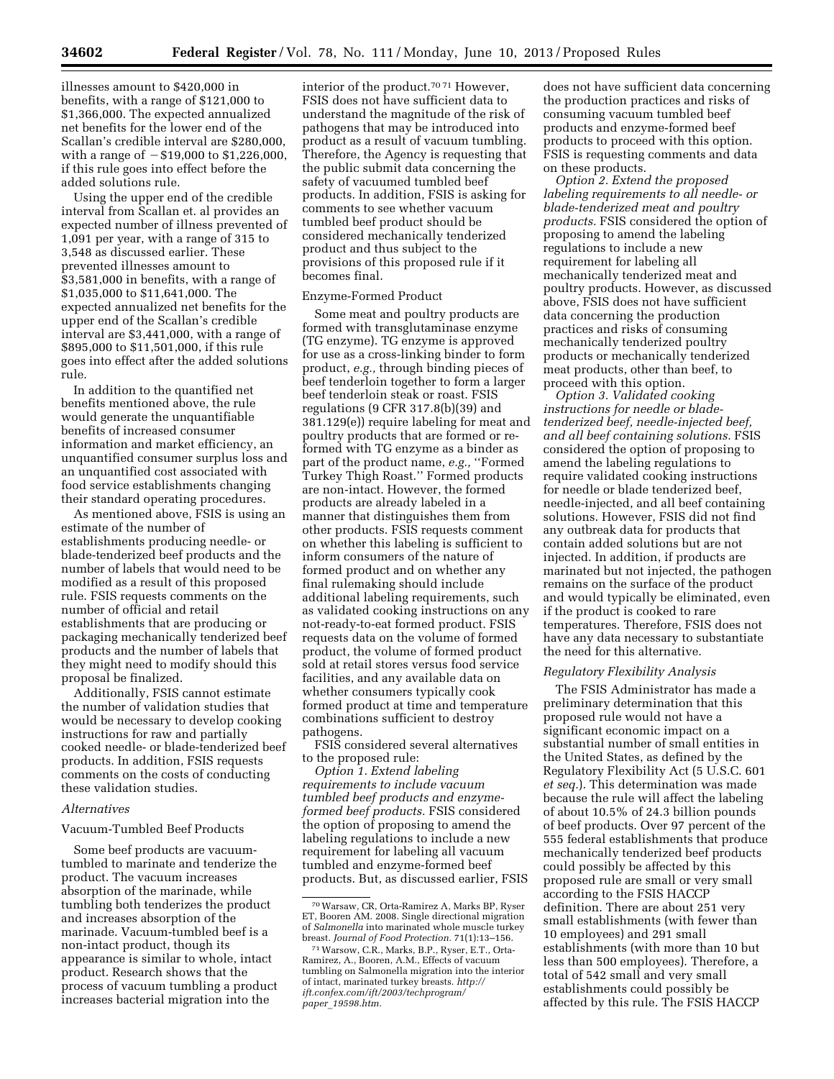illnesses amount to \$420,000 in benefits, with a range of \$121,000 to \$1,366,000. The expected annualized net benefits for the lower end of the Scallan's credible interval are \$280,000, with a range of  $- $19,000$  to  $$1,226,000$ , if this rule goes into effect before the added solutions rule.

Using the upper end of the credible interval from Scallan et. al provides an expected number of illness prevented of 1,091 per year, with a range of 315 to 3,548 as discussed earlier. These prevented illnesses amount to \$3,581,000 in benefits, with a range of \$1,035,000 to \$11,641,000. The expected annualized net benefits for the upper end of the Scallan's credible interval are \$3,441,000, with a range of \$895,000 to \$11,501,000, if this rule goes into effect after the added solutions rule.

In addition to the quantified net benefits mentioned above, the rule would generate the unquantifiable benefits of increased consumer information and market efficiency, an unquantified consumer surplus loss and an unquantified cost associated with food service establishments changing their standard operating procedures.

As mentioned above, FSIS is using an estimate of the number of establishments producing needle- or blade-tenderized beef products and the number of labels that would need to be modified as a result of this proposed rule. FSIS requests comments on the number of official and retail establishments that are producing or packaging mechanically tenderized beef products and the number of labels that they might need to modify should this proposal be finalized.

Additionally, FSIS cannot estimate the number of validation studies that would be necessary to develop cooking instructions for raw and partially cooked needle- or blade-tenderized beef products. In addition, FSIS requests comments on the costs of conducting these validation studies.

# *Alternatives*

#### Vacuum-Tumbled Beef Products

Some beef products are vacuumtumbled to marinate and tenderize the product. The vacuum increases absorption of the marinade, while tumbling both tenderizes the product and increases absorption of the marinade. Vacuum-tumbled beef is a non-intact product, though its appearance is similar to whole, intact product. Research shows that the process of vacuum tumbling a product increases bacterial migration into the

interior of the product.70 71 However, FSIS does not have sufficient data to understand the magnitude of the risk of pathogens that may be introduced into product as a result of vacuum tumbling. Therefore, the Agency is requesting that the public submit data concerning the safety of vacuumed tumbled beef products. In addition, FSIS is asking for comments to see whether vacuum tumbled beef product should be considered mechanically tenderized product and thus subject to the provisions of this proposed rule if it becomes final.

#### Enzyme-Formed Product

Some meat and poultry products are formed with transglutaminase enzyme (TG enzyme). TG enzyme is approved for use as a cross-linking binder to form product, *e.g.,* through binding pieces of beef tenderloin together to form a larger beef tenderloin steak or roast. FSIS regulations (9 CFR 317.8(b)(39) and 381.129(e)) require labeling for meat and poultry products that are formed or reformed with TG enzyme as a binder as part of the product name, *e.g.,* ''Formed Turkey Thigh Roast.'' Formed products are non-intact. However, the formed products are already labeled in a manner that distinguishes them from other products. FSIS requests comment on whether this labeling is sufficient to inform consumers of the nature of formed product and on whether any final rulemaking should include additional labeling requirements, such as validated cooking instructions on any not-ready-to-eat formed product. FSIS requests data on the volume of formed product, the volume of formed product sold at retail stores versus food service facilities, and any available data on whether consumers typically cook formed product at time and temperature combinations sufficient to destroy pathogens.

FSIS considered several alternatives to the proposed rule:

*Option 1. Extend labeling requirements to include vacuum tumbled beef products and enzymeformed beef products.* FSIS considered the option of proposing to amend the labeling regulations to include a new requirement for labeling all vacuum tumbled and enzyme-formed beef products. But, as discussed earlier, FSIS

does not have sufficient data concerning the production practices and risks of consuming vacuum tumbled beef products and enzyme-formed beef products to proceed with this option. FSIS is requesting comments and data on these products.

*Option 2. Extend the proposed labeling requirements to all needle- or blade-tenderized meat and poultry products.* FSIS considered the option of proposing to amend the labeling regulations to include a new requirement for labeling all mechanically tenderized meat and poultry products. However, as discussed above, FSIS does not have sufficient data concerning the production practices and risks of consuming mechanically tenderized poultry products or mechanically tenderized meat products, other than beef, to proceed with this option.

*Option 3. Validated cooking instructions for needle or bladetenderized beef, needle-injected beef, and all beef containing solutions.* FSIS considered the option of proposing to amend the labeling regulations to require validated cooking instructions for needle or blade tenderized beef, needle-injected, and all beef containing solutions. However, FSIS did not find any outbreak data for products that contain added solutions but are not injected. In addition, if products are marinated but not injected, the pathogen remains on the surface of the product and would typically be eliminated, even if the product is cooked to rare temperatures. Therefore, FSIS does not have any data necessary to substantiate the need for this alternative.

#### *Regulatory Flexibility Analysis*

The FSIS Administrator has made a preliminary determination that this proposed rule would not have a significant economic impact on a substantial number of small entities in the United States, as defined by the Regulatory Flexibility Act (5 U.S.C. 601 *et seq.*). This determination was made because the rule will affect the labeling of about 10.5% of 24.3 billion pounds of beef products. Over 97 percent of the 555 federal establishments that produce mechanically tenderized beef products could possibly be affected by this proposed rule are small or very small according to the FSIS HACCP definition. There are about 251 very small establishments (with fewer than 10 employees) and 291 small establishments (with more than 10 but less than 500 employees). Therefore, a total of 542 small and very small establishments could possibly be affected by this rule. The FSIS HACCP

<sup>70</sup>Warsaw, CR, Orta-Ramirez A, Marks BP, Ryser ET, Booren AM. 2008. Single directional migration of *Salmonella* into marinated whole muscle turkey<br>breast. Journal of Food Protection. 71(1):13-156.

<sup>&</sup>lt;sup>71</sup> Warsow, C.R., Marks, B.P., Ryser, E.T., Orta-Ramirez, A., Booren, A.M., Effects of vacuum tumbling on Salmonella migration into the interior of intact, marinated turkey breasts. *[http://](http://ift.confex.com/ift/2003/techprogram/paper_19598.htm) [ift.confex.com/ift/2003/techprogram/](http://ift.confex.com/ift/2003/techprogram/paper_19598.htm)  paper*\_*[19598.htm.](http://ift.confex.com/ift/2003/techprogram/paper_19598.htm)*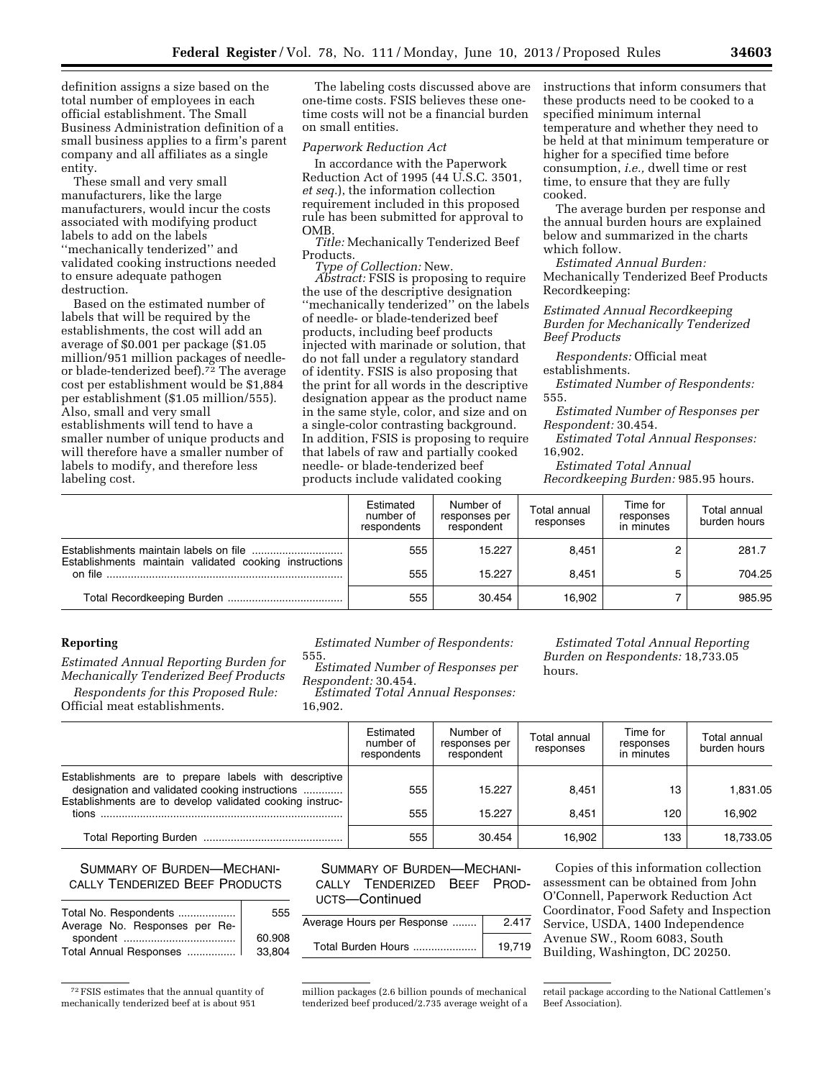definition assigns a size based on the total number of employees in each official establishment. The Small Business Administration definition of a small business applies to a firm's parent company and all affiliates as a single entity.

These small and very small manufacturers, like the large manufacturers, would incur the costs associated with modifying product labels to add on the labels ''mechanically tenderized'' and validated cooking instructions needed to ensure adequate pathogen destruction.

Based on the estimated number of labels that will be required by the establishments, the cost will add an average of \$0.001 per package (\$1.05 million/951 million packages of needleor blade-tenderized beef).<sup> $72$ </sup> The average cost per establishment would be \$1,884 per establishment (\$1.05 million/555). Also, small and very small establishments will tend to have a smaller number of unique products and will therefore have a smaller number of labels to modify, and therefore less labeling cost.

The labeling costs discussed above are one-time costs. FSIS believes these onetime costs will not be a financial burden on small entities.

#### *Paperwork Reduction Act*

In accordance with the Paperwork Reduction Act of 1995 (44 U.S.C. 3501, *et seq.*), the information collection requirement included in this proposed rule has been submitted for approval to OMB.

*Title:* Mechanically Tenderized Beef Products.

*Type of Collection:* New.

*Abstract:* FSIS is proposing to require the use of the descriptive designation ''mechanically tenderized'' on the labels of needle- or blade-tenderized beef products, including beef products injected with marinade or solution, that do not fall under a regulatory standard of identity. FSIS is also proposing that the print for all words in the descriptive designation appear as the product name in the same style, color, and size and on a single-color contrasting background. In addition, FSIS is proposing to require that labels of raw and partially cooked needle- or blade-tenderized beef products include validated cooking

instructions that inform consumers that these products need to be cooked to a specified minimum internal temperature and whether they need to be held at that minimum temperature or higher for a specified time before consumption, *i.e.,* dwell time or rest time, to ensure that they are fully cooked.

The average burden per response and the annual burden hours are explained below and summarized in the charts which follow.

*Estimated Annual Burden:*  Mechanically Tenderized Beef Products Recordkeeping:

*Estimated Annual Recordkeeping Burden for Mechanically Tenderized Beef Products* 

*Respondents:* Official meat establishments.

*Estimated Number of Respondents:*  555.

*Estimated Number of Responses per Respondent:* 30.454.

*Estimated Total Annual Responses:*  16,902.

*Estimated Total Annual Recordkeeping Burden:* 985.95 hours.

|                                                        | Estimated<br>number of<br>respondents | Number of<br>responses per<br>respondent | Total annual<br>responses | Time for<br>responses<br>in minutes | Total annual<br>burden hours |
|--------------------------------------------------------|---------------------------------------|------------------------------------------|---------------------------|-------------------------------------|------------------------------|
| Establishments maintain validated cooking instructions | 555                                   | 15.227                                   | 8.451                     |                                     | 281.7                        |
|                                                        | 555                                   | 15.227                                   | 8.451                     |                                     | 704.25                       |
|                                                        | 555                                   | 30.454                                   | 16.902                    |                                     | 985.95                       |

# **Reporting**

*Estimated Annual Reporting Burden for Mechanically Tenderized Beef Products* 

*Respondents for this Proposed Rule:*  Official meat establishments.

*Estimated Number of Respondents:* 

555. *Estimated Number of Responses per* 

*Respondent:* 30.454. *Estimated Total Annual Responses:* 

16,902.

*Estimated Total Annual Reporting Burden on Respondents:* 18,733.05 hours.

|                                                                                                                                                                     | Estimated<br>number of<br>respondents | Number of<br>responses per<br>respondent | Total annual<br>responses | Time for<br>responses<br>in minutes | Total annual<br>burden hours |
|---------------------------------------------------------------------------------------------------------------------------------------------------------------------|---------------------------------------|------------------------------------------|---------------------------|-------------------------------------|------------------------------|
| Establishments are to prepare labels with descriptive<br>designation and validated cooking instructions<br>Establishments are to develop validated cooking instruc- | 555                                   | 15.227                                   | 8.451                     | 13                                  | 1,831.05                     |
|                                                                                                                                                                     | 555                                   | 15.227                                   | 8.451                     | 120                                 | 16.902                       |
|                                                                                                                                                                     | 555                                   | 30.454                                   | 16.902                    | 133                                 | 18,733.05                    |

# SUMMARY OF BURDEN—MECHANI-CALLY TENDERIZED BEEF PRODUCTS

|                               | 555    |
|-------------------------------|--------|
| Average No. Responses per Re- |        |
|                               | 60.908 |
| Total Annual Responses        | 33.804 |

<sup>72</sup>FSIS estimates that the annual quantity of mechanically tenderized beef at is about 951

SUMMARY OF BURDEN—MECHANI-CALLY TENDERIZED BEEF PROD-UCTS—Continued

| Average Hours per Response | 2.417  |
|----------------------------|--------|
| Total Burden Hours         | 19.719 |

Copies of this information collection assessment can be obtained from John O'Connell, Paperwork Reduction Act Coordinator, Food Safety and Inspection Service, USDA, 1400 Independence Avenue SW., Room 6083, South Building, Washington, DC 20250.

million packages (2.6 billion pounds of mechanical tenderized beef produced/2.735 average weight of a

retail package according to the National Cattlemen's Beef Association).